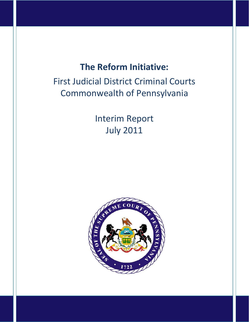# **The Reform Initiative:**

# First Judicial District Criminal Courts Commonwealth of Pennsylvania

Interim Report July 2011

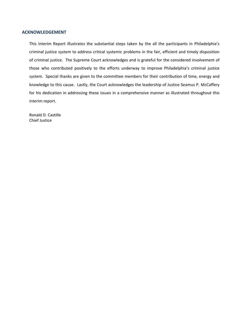#### **ACKNOWLEDGEMENT**

This Interim Report illustrates the substantial steps taken by the all the participants in Philadelphia's criminal justice system to address critical systemic problems in the fair, efficient and timely disposition of criminal justice. The Supreme Court acknowledges and is grateful for the considered involvement of those who contributed positively to the efforts underway to improve Philadelphia's criminal justice system. Special thanks are given to the committee members for their contribution of time, energy and knowledge to this cause. Lastly, the Court acknowledges the leadership of Justice Seamus P. McCaffery for his dedication in addressing these issues in a comprehensive manner as illustrated throughout this interim report.

Ronald D. Castille Chief Justice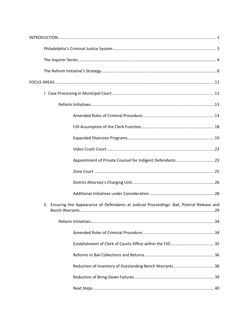| Ensuring the Appearance of Defendants at Judicial Proceedings: Bail, Pretrial Release and<br>Ш. |
|-------------------------------------------------------------------------------------------------|
|                                                                                                 |
|                                                                                                 |
|                                                                                                 |
|                                                                                                 |
|                                                                                                 |
|                                                                                                 |
|                                                                                                 |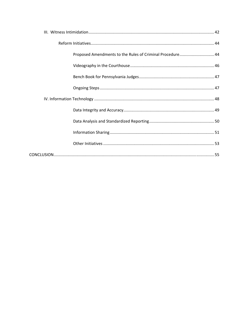| Proposed Amendments to the Rules of Criminal Procedure 44 |  |
|-----------------------------------------------------------|--|
|                                                           |  |
|                                                           |  |
|                                                           |  |
|                                                           |  |
|                                                           |  |
|                                                           |  |
|                                                           |  |
|                                                           |  |
|                                                           |  |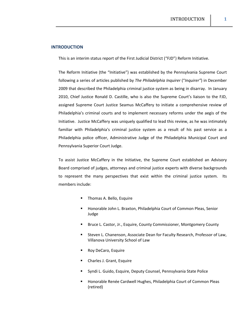## **INTRODUCTION**

This is an interim status report of the First Judicial District ("FJD") Reform Initiative.

The Reform Initiative (the "Initiative") was established by the Pennsylvania Supreme Court following a series of articles published by *The Philadelphia Inquirer* ("*Inquirer"*) in December 2009 that described the Philadelphia criminal justice system as being in disarray. In January 2010, Chief Justice Ronald D. Castille, who is also the Supreme Court's liaison to the FJD, assigned Supreme Court Justice Seamus McCaffery to initiate a comprehensive review of Philadelphia's criminal courts and to implement necessary reforms under the aegis of the Initiative. Justice McCaffery was uniquely qualified to lead this review, as he was intimately familiar with Philadelphia's criminal justice system as a result of his past service as a Philadelphia police officer, Administrative Judge of the Philadelphia Municipal Court and Pennsylvania Superior Court Judge.

To assist Justice McCaffery in the Initiative, the Supreme Court established an Advisory Board comprised of judges, attorneys and criminal justice experts with diverse backgrounds to represent the many perspectives that exist within the criminal justice system. Its members include:

- Thomas A. Bello, Esquire
- **Honorable John L. Braxton, Philadelphia Court of Common Pleas, Senior** Judge
- **Bruce L. Castor, Jr., Esquire, County Commissioner, Montgomery County**
- **EXECTED EXECTED EXECTED EXECTED EXECTED** Steven L. Chanenson, Associate Dean, Beau, Villanova University School of Law
- Roy DeCaro, Esquire
- **EXEC** J. Grant, Esquire
- Syndi L. Guido, Esquire, Deputy Counsel, Pennsylvania State Police
- **Honorable Renée Cardwell Hughes, Philadelphia Court of Common Pleas** (retired)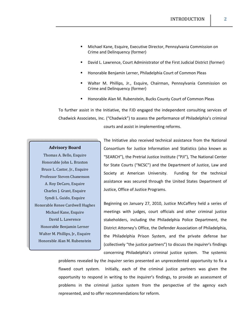- Michael Kane, Esquire, Executive Director, Pennsylvania Commission on Crime and Delinquency (former)
- David L. Lawrence, Court Administrator of the First Judicial District (former)
- Honorable Benjamin Lerner, Philadelphia Court of Common Pleas
- Walter M. Phillips, Jr., Esquire, Chairman, Pennsylvania Commission on Crime and Delinquency (former)
- Honorable Alan M. Rubenstein, Bucks County Court of Common Pleas

To further assist in the Initiative, the FJD engaged the independent consulting services of Chadwick Associates, Inc. ("Chadwick") to assess the performance of Philadelphia's criminal courts and assist in implementing reforms.

## **Advisory Board**

Thomas A. Bello, Esquire Honorable John L. Braxton Bruce L. Castor, Jr., Esquire Professor Steven Chanenson A. Roy DeCaro, Esquire Charles J. Grant, Esquire Syndi L. Guido, Esquire Honorable Renee Cardwell Hughes Michael Kane, Esquire David L. Lawrence Honorable Benjamin Lerner Walter M. Phillips, Jr., Esquire Honorable Alan M. Rubenstein

The Initiative also received technical assistance from the National Consortium for Justice Information and Statistics (also known as "SEARCH"), the Pretrial Justice Institute ("PJI"), The National Center for State Courts ("NCSC") and the Department of Justice, Law and Society at American University. Funding for the technical assistance was secured through the United States Department of Justice, Office of Justice Programs.

Beginning on January 27, 2010, Justice McCaffery held a series of meetings with judges, court officials and other criminal justice stakeholders, including the Philadelphia Police Department, the District Attorney's Office, the Defender Association of Philadelphia, the Philadelphia Prison System, and the private defense bar (collectively "the justice partners") to discuss the *Inquirer*'s findings concerning Philadelphia's criminal justice system. The systemic

problems revealed by the *Inquirer* series presented an unprecedented opportunity to fix a flawed court system. Initially, each of the criminal justice partners was given the opportunity to respond in writing to the *Inquirer*'s findings, to provide an assessment of problems in the criminal justice system from the perspective of the agency each represented, and to offer recommendations for reform.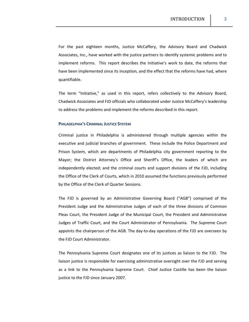For the past eighteen months, Justice McCaffery, the Advisory Board and Chadwick Associates, Inc., have worked with the justice partners to identify systemic problems and to implement reforms. This report describes the Initiative's work to date, the reforms that have been implemented since its inception, and the effect that the reforms have had, where quantifiable.

The term "Initiative," as used in this report, refers collectively to the Advisory Board, Chadwick Associates and FJD officials who collaborated under Justice McCaffery's leadership to address the problems and implement the reforms described in this report.

## **PHILADELPHIA'S CRIMINAL JUSTICE SYSTEM**

Criminal justice in Philadelphia is administered through multiple agencies within the executive and judicial branches of government. These include the Police Department and Prison System, which are departments of Philadelphia city government reporting to the Mayor; the District Attorney's Office and Sheriff's Office, the leaders of which are independently elected; and the criminal courts and support divisions of the FJD, including the Office of the Clerk of Courts, which in 2010 assumed the functions previously performed by the Office of the Clerk of Quarter Sessions.

The FJD is governed by an Administrative Governing Board ("AGB") comprised of the President Judge and the Administrative Judges of each of the three divisions of Common Pleas Court, the President Judge of the Municipal Court, the President and Administrative Judges of Traffic Court, and the Court Administrator of Pennsylvania. The Supreme Court appoints the chairperson of the AGB. The day‐to‐day operations of the FJD are overseen by the FJD Court Administrator.

The Pennsylvania Supreme Court designates one of its justices as liaison to the FJD. The liaison justice is responsible for exercising administrative oversight over the FJD and serving as a link to the Pennsylvania Supreme Court. Chief Justice Castille has been the liaison justice to the FJD since January 2007.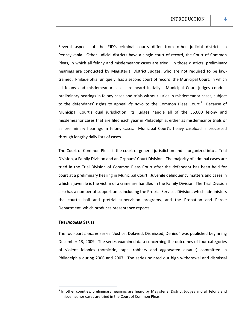Several aspects of the FJD's criminal courts differ from other judicial districts in Pennsylvania. Other judicial districts have a single court of record, the Court of Common Pleas, in which all felony and misdemeanor cases are tried. In those districts, preliminary hearings are conducted by Magisterial District Judges, who are not required to be law‐ trained. Philadelphia, uniquely, has a second court of record, the Municipal Court, in which all felony and misdemeanor cases are heard initially. Municipal Court judges conduct preliminary hearings in felony cases and trials without juries in misdemeanor cases, subject to the defendants' rights to appeal *de novo* to the Common Pleas Court.<sup>1</sup> Because of Municipal Court's dual jurisdiction, its judges handle all of the 55,000 felony and misdemeanor cases that are filed each year in Philadelphia, either as misdemeanor trials or as preliminary hearings in felony cases. Municipal Court's heavy caseload is processed through lengthy daily lists of cases.

The Court of Common Pleas is the court of general jurisdiction and is organized into a Trial Division, a Family Division and an Orphans' Court Division. The majority of criminal cases are tried in the Trial Division of Common Pleas Court after the defendant has been held for court at a preliminary hearing in Municipal Court. Juvenile delinquency matters and cases in which a juvenile is the victim of a crime are handled in the Family Division. The Trial Division also has a number of support units including the Pretrial Services Division, which administers the court's bail and pretrial supervision programs, and the Probation and Parole Department, which produces presentence reports.

#### **THE** *INQUIRER* **SERIES**

The four‐part *Inquirer* series "Justice: Delayed, Dismissed, Denied" was published beginning December 13, 2009. The series examined data concerning the outcomes of four categories of violent felonies (homicide, rape, robbery and aggravated assault) committed in Philadelphia during 2006 and 2007. The series pointed out high withdrawal and dismissal

In other counties, preliminary hearings are heard by Magisterial District Judges and all felony and misdemeanor cases are tried in the Court of Common Pleas.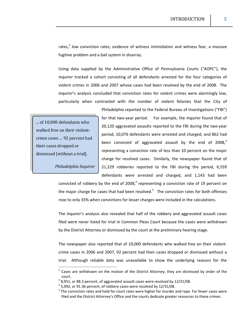rates, $^2$  low conviction rates, evidence of witness intimidation and witness fear, a massive fugitive problem and a bail system in disarray.

Using data supplied by the Administrative Office of Pennsylvania Courts ("AOPC"), the *Inquirer* tracked a cohort consisting of all defendants arrested for the four categories of violent crimes in 2006 and 2007 whose cases had been resolved by the end of 2008. The *Inquirer*'s analysis concluded that conviction rates for violent crimes were alarmingly low, particularly when contrasted with the number of violent felonies that the City of

... of 10,000 defendants who walked free on their violent‐ crime cases … 92 percent had their cases dropped or dismissed [without a trial].

*Philadelphia Inquirer*

Philadelphia reported to the Federal Bureau of Investigations ("FBI") for that two-year period. For example, the *Inquirer* found that of 20,120 aggravated assaults reported to the FBI during the two‐year period, 10,076 defendants were arrested and charged, and 862 had been convicted of aggravated assault by the end of  $2008<sup>3</sup>$ representing a conviction rate of less than 10 percent on the major charge for resolved cases. Similarly, the newspaper found that of 21,229 robberies reported to the FBI during the period, 6,559 defendants were arrested and charged, and 1,143 had been

convicted of robbery by the end of 2008, $<sup>4</sup>$  representing a conviction rate of 19 percent on</sup> the major charge for cases that had been resolved.<sup>5</sup> The conviction rates for both offenses rose to only 35% when convictions for lesser charges were included in the calculations.

The *Inquirer*'s analysis also revealed that half of the robbery and aggravated assault cases filed were never listed for trial in Common Pleas Court because the cases were withdrawn by the District Attorney or dismissed by the court at the preliminary hearing stage.

The newspaper also reported that of 10,000 defendants who walked free on their violent‐ crime cases in 2006 and 2007, 92 percent had their cases dropped or dismissed without a trial. Although reliable data was unavailable to show the underlying reasons for the

 $2$  Cases are withdrawn on the motion of the District Attorney; they are dismissed by order of the court.<br> $38,951$ , or 88.3 percent, of aggravated assault cases were resolved by 12/31/08.<br> $45,992$ , or 91.36 percent, of robbery cases were resolved by 12/31/08.<br> $5$  The conviction rates and held for court rates were highe

filed and the District Attorney's Office and the courts dedicate greater resources to these crimes.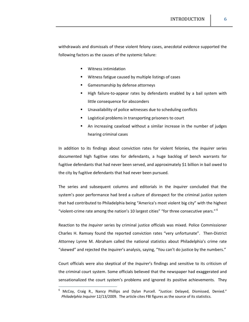withdrawals and dismissals of these violent felony cases, anecdotal evidence supported the following factors as the causes of the systemic failure:

- Witness intimidation
- Witness fatigue caused by multiple listings of cases
- Gamesmanship by defense attorneys
- High failure-to-appear rates by defendants enabled by a bail system with little consequence for absconders
- Unavailability of police witnesses due to scheduling conflicts
- Logistical problems in transporting prisoners to court
- An increasing caseload without a similar increase in the number of judges hearing criminal cases

In addition to its findings about conviction rates for violent felonies, the *Inquirer* series documented high fugitive rates for defendants, a huge backlog of bench warrants for fugitive defendants that had never been served, and approximately \$1 billion in bail owed to the city by fugitive defendants that had never been pursued.

The series and subsequent columns and editorials in the *Inquirer* concluded that the system's poor performance had bred a culture of disrespect for the criminal justice system that had contributed to Philadelphia being "America's most violent big city" with the highest "violent-crime rate among the nation's 10 largest cities" "for three consecutive years."  $6$ 

Reaction to the *Inquirer* series by criminal justice officials was mixed. Police Commissioner Charles H. Ramsey found the reported conviction rates "very unfortunate". Then‐District Attorney Lynne M. Abraham called the national statistics about Philadelphia's crime rate "skewed" and rejected the *Inquirer*'s analysis, saying, "You can't do justice by the numbers."

Court officials were also skeptical of the *Inquirer*'s findings and sensitive to its criticism of the criminal court system. Some officials believed that the newspaper had exaggerated and sensationalized the court system's problems and ignored its positive achievements. They

<sup>6</sup> McCoy, Craig R., Nancy Phillips and Dylan Purcell. "Justice: Delayed, Dismissed, Denied." *Philadelphia Inquirer* 12/13/2009. The article cites FBI figures as the source of its statistics.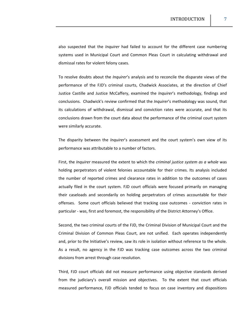also suspected that the *Inquirer* had failed to account for the different case numbering systems used in Municipal Court and Common Pleas Court in calculating withdrawal and dismissal rates for violent felony cases.

To resolve doubts about the *Inquirer*'s analysis and to reconcile the disparate views of the performance of the FJD's criminal courts, Chadwick Associates, at the direction of Chief Justice Castille and Justice McCaffery, examined the *Inquirer*'s methodology, findings and conclusions. Chadwick's review confirmed that the *Inquirer*'s methodology was sound, that its calculations of withdrawal, dismissal and conviction rates were accurate, and that its conclusions drawn from the court data about the performance of the criminal court system were similarly accurate.

The disparity between the *Inquirer*'s assessment and the court system's own view of its performance was attributable to a number of factors.

First, the *Inquirer* measured the extent to which the *criminal justice system as a whole* was holding perpetrators of violent felonies accountable for their crimes. Its analysis included the number of reported crimes and clearance rates in addition to the outcomes of cases actually filed in the court system. FJD court officials were focused primarily on managing their caseloads and secondarily on holding perpetrators of crimes accountable for their offenses. Some court officials believed that tracking case outcomes - conviction rates in particular ‐ was, first and foremost, the responsibility of the District Attorney's Office.

Second, the two criminal courts of the FJD, the Criminal Division of Municipal Court and the Criminal Division of Common Pleas Court, are not unified. Each operates independently and, prior to the Initiative's review, saw its role in isolation without reference to the whole. As a result, no agency in the FJD was tracking case outcomes across the two criminal divisions from arrest through case resolution.

Third, FJD court officials did not measure performance using objective standards derived from the judiciary's overall mission and objectives. To the extent that court officials measured performance, FJD officials tended to focus on case inventory and dispositions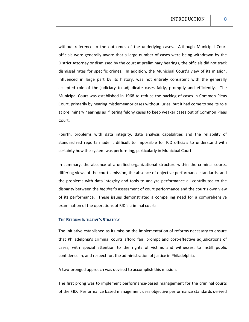without reference to the outcomes of the underlying cases. Although Municipal Court officials were generally aware that a large number of cases were being withdrawn by the District Attorney or dismissed by the court at preliminary hearings, the officials did not track dismissal rates for specific crimes. In addition, the Municipal Court's view of its mission, influenced in large part by its history, was not entirely consistent with the generally accepted role of the judiciary to adjudicate cases fairly, promptly and efficiently. The Municipal Court was established in 1968 to reduce the backlog of cases in Common Pleas Court, primarily by hearing misdemeanor cases without juries, but it had come to see its role at preliminary hearings as filtering felony cases to keep weaker cases out of Common Pleas Court.

Fourth, problems with data integrity, data analysis capabilities and the reliability of standardized reports made it difficult to impossible for FJD officials to understand with certainty how the system was performing, particularly in Municipal Court.

In summary, the absence of a unified organizational structure within the criminal courts, differing views of the court's mission, the absence of objective performance standards, and the problems with data integrity and tools to analyze performance all contributed to the disparity between the *Inquirer*'s assessment of court performance and the court's own view of its performance. These issues demonstrated a compelling need for a comprehensive examination of the operations of FJD's criminal courts.

## **THE REFORM INITIATIVE'S STRATEGY**

The Initiative established as its mission the implementation of reforms necessary to ensure that Philadelphia's criminal courts afford fair, prompt and cost‐effective adjudications of cases, with special attention to the rights of victims and witnesses, to instill public confidence in, and respect for, the administration of justice in Philadelphia.

A two‐pronged approach was devised to accomplish this mission.

The first prong was to implement performance‐based management for the criminal courts of the FJD. Performance based management uses objective performance standards derived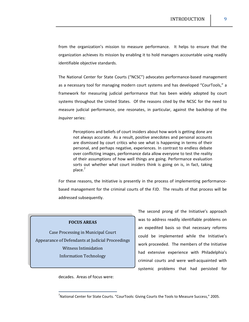from the organization's mission to measure performance. It helps to ensure that the organization achieves its mission by enabling it to hold managers accountable using readily identifiable objective standards.

The National Center for State Courts ("NCSC") advocates performance‐based management as a necessary tool for managing modern court systems and has developed "CourTools," a framework for measuring judicial performance that has been widely adopted by court systems throughout the United States. Of the reasons cited by the NCSC for the need to measure judicial performance, one resonates, in particular, against the backdrop of the *Inquirer* series:

Perceptions and beliefs of court insiders about how work is getting done are not always accurate. As a result, positive anecdotes and personal accounts are dismissed by court critics who see what is happening in terms of their personal, and perhaps negative, experiences. In contrast to endless debate over conflicting images, performance data allow everyone to test the reality of their assumptions of how well things are going. Performance evaluation sorts out whether what court insiders think is going on is, in fact, taking place.<sup>7</sup>

For these reasons, the Initiative is presently in the process of implementing performancebased management for the criminal courts of the FJD. The results of that process will be addressed subsequently.

#### **FOCUS AREAS**

Case Processing in Municipal Court Appearance of Defendants at Judicial Proceedings Witness Intimidation Information Technology

The second prong of the Initiative's approach was to address readily identifiable problems on an expedited basis so that necessary reforms could be implemented while the Initiative's work proceeded. The members of the Initiative had extensive experience with Philadelphia's criminal courts and were well‐acquainted with systemic problems that had persisted for

decades. Areas of focus were:

<u> 1989 - Johann Stein, mars ar breis an t-</u>

<sup>7</sup> National Center for State Courts. "CourTools: Giving Courts the Tools to Measure Success," 2005.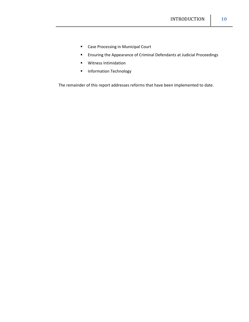- **Case Processing in Municipal Court**
- Ensuring the Appearance of Criminal Defendants at Judicial Proceedings
- Witness Intimidation
- **Information Technology**

The remainder of this report addresses reforms that have been implemented to date.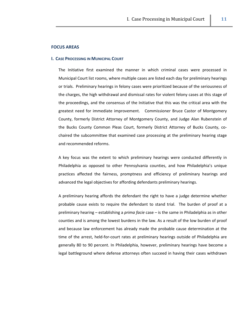## **FOCUS AREAS**

#### **I. CASE PROCESSING IN MUNICIPAL COURT**

The Initiative first examined the manner in which criminal cases were processed in Municipal Court list rooms, where multiple cases are listed each day for preliminary hearings or trials. Preliminary hearings in felony cases were prioritized because of the seriousness of the charges, the high withdrawal and dismissal rates for violent felony cases at this stage of the proceedings, and the consensus of the Initiative that this was the critical area with the greatest need for immediate improvement. Commissioner Bruce Castor of Montgomery County, formerly District Attorney of Montgomery County, and Judge Alan Rubenstein of the Bucks County Common Pleas Court, formerly District Attorney of Bucks County, co‐ chaired the subcommittee that examined case processing at the preliminary hearing stage and recommended reforms.

A key focus was the extent to which preliminary hearings were conducted differently in Philadelphia as opposed to other Pennsylvania counties, and how Philadelphia's unique practices affected the fairness, promptness and efficiency of preliminary hearings and advanced the legal objectives for affording defendants preliminary hearings.

A preliminary hearing affords the defendant the right to have a judge determine whether probable cause exists to require the defendant to stand trial. The burden of proof at a preliminary hearing – establishing a *prima facie* case – is the same in Philadelphia as in other counties and is among the lowest burdens in the law. As a result of the low burden of proof and because law enforcement has already made the probable cause determination at the time of the arrest, held‐for‐court rates at preliminary hearings outside of Philadelphia are generally 80 to 90 percent. In Philadelphia, however, preliminary hearings have become a legal battleground where defense attorneys often succeed in having their cases withdrawn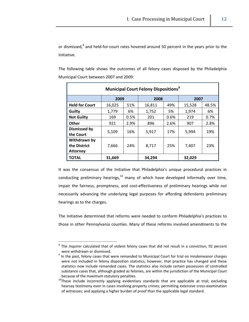or dismissed,<sup>8</sup> and held-for-court rates hovered around 50 percent in the years prior to the Initiative.

The following table shows the outcomes of all felony cases disposed by the Philadelphia Municipal Court between 2007 and 2009:

| <b>Municipal Court Felony Dispositions</b> <sup>9</sup> |        |      |        |      |        |       |  |  |  |
|---------------------------------------------------------|--------|------|--------|------|--------|-------|--|--|--|
|                                                         | 2009   |      | 2008   |      | 2007   |       |  |  |  |
| <b>Held for Court</b>                                   | 16,025 | 51%  | 16,811 | 49%  | 15,528 | 48.5% |  |  |  |
| Guilty                                                  | 1,779  | 6%   | 1,752  | 5%   | 1,974  | 6%    |  |  |  |
| <b>Not Guilty</b>                                       | 169    | 0.5% | 201    | 0.6% | 219    | 0.7%  |  |  |  |
| <b>Other</b>                                            | 921    | 2.9% | 896    | 2.6% | 907    | 2.8%  |  |  |  |
| <b>Dismissed by</b><br>the Court                        | 5,109  | 16%  | 5,917  | 17%  | 5,994  | 19%   |  |  |  |
| Withdrawn by<br>the District<br><b>Attorney</b>         | 7,666  | 24%  | 8.717  | 25%  | 7,407  | 23%   |  |  |  |
| <b>TOTAL</b>                                            | 31,669 |      | 34,294 |      | 32,029 |       |  |  |  |

It was the consensus of the Initiative that Philadelphia's unique procedural practices in conducting preliminary hearings, $10$  many of which have developed informally over time, impair the fairness, promptness, and cost-effectiveness of preliminary hearings while not necessarily advancing the underlying legal purposes for affording defendants preliminary hearings as to the charges.

The Initiative determined that reforms were needed to conform Philadelphia's practices to those in other Pennsylvania counties. Many of these reforms involved amendments to the

<sup>8</sup> The *Inquirer* calculated that of violent felony cases that did not result in a conviction, 92 percent were withdrawn or dismissed.<br>
<sup>9</sup> In the past, felony cases that were remanded to Municipal Court for trial on misdemeanor charges

were not included in felony disposition statistics; however, that practice has changed and these statistics now include remanded cases. The statistics also include certain possession of controlled substance cases that, although graded as felonies, are within the jurisdiction of the Municipal Court because of the maximum statutory penalties.<br><sup>10</sup>These include incorrectly applying evidentiary standards that are applicable at trial; excluding

hearsay testimony even in cases involving property crimes; permitting extensive cross-examination of witnesses; and applying a higher burden of proof than the applicable legal standard.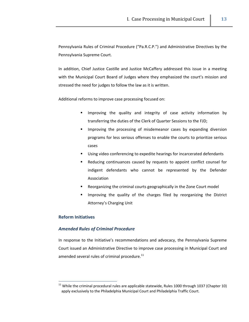Pennsylvania Rules of Criminal Procedure ("Pa.R.C.P.") and Administrative Directives by the Pennsylvania Supreme Court.

In addition, Chief Justice Castille and Justice McCaffery addressed this issue in a meeting with the Municipal Court Board of Judges where they emphasized the court's mission and stressed the need for judges to follow the law as it is written.

Additional reforms to improve case processing focused on:

- **IMPROM** 15 Improving the quality and integrity of case activity information by transferring the duties of the Clerk of Quarter Sessions to the FJD;
- **If** Improving the processing of misdemeanor cases by expanding diversion programs for less serious offenses to enable the courts to prioritize serious cases
- Using video conferencing to expedite hearings for incarcerated defendants
- Reducing continuances caused by requests to appoint conflict counsel for indigent defendants who cannot be represented by the Defender Association
- Reorganizing the criminal courts geographically in the Zone Court model
- Improving the quality of the charges filed by reorganizing the District Attorney's Charging Unit

## **Reform Initiatives**

#### *Amended Rules of Criminal Procedure*

<u> Alexandria de la contrada de la contrada de la contrada de la contrada de la contrada de la contrada de la c</u>

In response to the Initiative's recommendations and advocacy, the Pennsylvania Supreme Court issued an Administrative Directive to improve case processing in Municipal Court and amended several rules of criminal procedure.<sup>11</sup>

 $11$  While the criminal procedural rules are applicable statewide, Rules 1000 through 1037 (Chapter 10) apply exclusively to the Philadelphia Municipal Court and Philadelphia Traffic Court.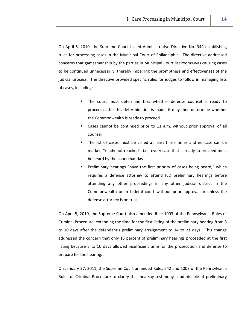On April 5, 2010, the Supreme Court issued Administrative Directive No. 344 establishing rules for processing cases in the Municipal Court of Philadelphia. The directive addressed concerns that gamesmanship by the parties in Municipal Court list rooms was causing cases to be continued unnecessarily, thereby impairing the promptness and effectiveness of the judicial process. The directive provided specific rules for judges to follow in managing lists of cases, including:

- The court must determine first whether defense counsel is ready to proceed; after this determination is made, it may then determine whether the Commonwealth is ready to proceed
- Cases cannot be continued prior to 11 a.m. without prior approval of all counsel
- The list of cases must be called at least three times and no case can be marked "ready not reached", i.e., every case that is ready to proceed must be heard by the court that day
- Preliminary hearings "have the first priority of cases being heard," which requires a defense attorney to attend FJD preliminary hearings before attending any other proceedings in any other judicial district in the Commonwealth or in federal court without prior approval or unless the defense attorney is on trial

On April 5, 2010, the Supreme Court also amended Rule 1003 of the Pennsylvania Rules of Criminal Procedure, extending the time for the first listing of the preliminary hearing from 3 to 10 days after the defendant's preliminary arraignment to 14 to 21 days. This change addressed the concern that only 13 percent of preliminary hearings proceeded at the first listing because 3 to 10 days allowed insufficient time for the prosecution and defense to prepare for the hearing.

On January 27, 2011, the Supreme Court amended Rules 542 and 1003 of the Pennsylvania Rules of Criminal Procedure to clarify that hearsay testimony is admissible at preliminary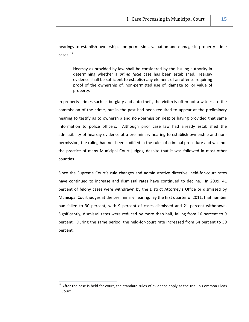hearings to establish ownership, non‐permission, valuation and damage in property crime cases: <sup>12</sup>

Hearsay as provided by law shall be considered by the issuing authority in determining whether a *prima facie* case has been established. Hearsay evidence shall be sufficient to establish any element of an offense requiring proof of the ownership of, non‐permitted use of, damage to, or value of property.

In property crimes such as burglary and auto theft, the victim is often not a witness to the commission of the crime, but in the past had been required to appear at the preliminary hearing to testify as to ownership and non-permission despite having provided that same information to police officers. Although prior case law had already established the admissibility of hearsay evidence at a preliminary hearing to establish ownership and non‐ permission, the ruling had not been codified in the rules of criminal procedure and was not the practice of many Municipal Court judges, despite that it was followed in most other counties.

Since the Supreme Court's rule changes and administrative directive, held-for-court rates have continued to increase and dismissal rates have continued to decline. In 2009, 41 percent of felony cases were withdrawn by the District Attorney's Office or dismissed by Municipal Court judges at the preliminary hearing. By the first quarter of 2011, that number had fallen to 30 percent, with 9 percent of cases dismissed and 21 percent withdrawn. Significantly, dismissal rates were reduced by more than half, falling from 16 percent to 9 percent. During the same period, the held‐for‐court rate increased from 54 percent to 59 percent.

<u> Alexandria de la contrada de la contrada de la contrada de la contrada de la contrada de la contrada de la c</u>

 $12$  After the case is held for court, the standard rules of evidence apply at the trial in Common Pleas Court.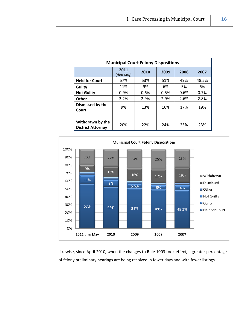| <b>Municipal Court Felony Dispositions</b>   |                    |      |      |      |       |  |  |  |
|----------------------------------------------|--------------------|------|------|------|-------|--|--|--|
|                                              | 2011<br>(thru May) | 2010 | 2009 | 2008 | 2007  |  |  |  |
| <b>Held for Court</b>                        | 57%                | 53%  | 51%  | 49%  | 48.5% |  |  |  |
| Guilty                                       | 11%                | 9%   | 6%   | 5%   | 6%    |  |  |  |
| <b>Not Guilty</b>                            | 0.9%               | 0.6% | 0.5% | 0.6% | 0.7%  |  |  |  |
| Other                                        | 3.2%               | 2.9% | 2.9% | 2.6% | 2.8%  |  |  |  |
| Dismissed by the<br>Court                    | 9%                 | 13%  | 16%  | 17%  | 19%   |  |  |  |
|                                              |                    |      |      |      |       |  |  |  |
| Withdrawn by the<br><b>District Attorney</b> | 20%                | 22%  | 24%  | 25%  | 23%   |  |  |  |



Likewise, since April 2010, when the changes to Rule 1003 took effect, a greater percentage of felony preliminary hearings are being resolved in fewer days and with fewer listings.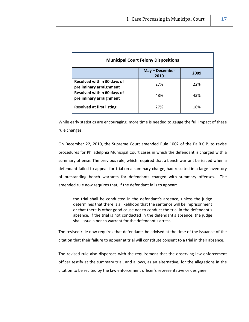| <b>Municipal Court Felony Dispositions</b>            |     |     |  |  |  |  |  |
|-------------------------------------------------------|-----|-----|--|--|--|--|--|
| May – December<br>2009<br>2010                        |     |     |  |  |  |  |  |
| Resolved within 30 days of<br>preliminary arraignment | 27% | 22% |  |  |  |  |  |
| Resolved within 60 days of<br>preliminary arraignment | 48% | 43% |  |  |  |  |  |
| <b>Resolved at first listing</b>                      | 27% | 16% |  |  |  |  |  |

While early statistics are encouraging, more time is needed to gauge the full impact of these rule changes.

On December 22, 2010, the Supreme Court amended Rule 1002 of the Pa.R.C.P. to revise procedures for Philadelphia Municipal Court cases in which the defendant is charged with a summary offense. The previous rule, which required that a bench warrant be issued when a defendant failed to appear for trial on a summary charge, had resulted in a large inventory of outstanding bench warrants for defendants charged with summary offenses. The amended rule now requires that, if the defendant fails to appear:

the trial shall be conducted in the defendant's absence, unless the judge determines that there is a likelihood that the sentence will be imprisonment or that there is other good cause not to conduct the trial in the defendant's absence. If the trial is not conducted in the defendant's absence, the judge shall issue a bench warrant for the defendant's arrest.

The revised rule now requires that defendants be advised at the time of the issuance of the citation that their failure to appear at trial will constitute consent to a trial in their absence.

The revised rule also dispenses with the requirement that the observing law enforcement officer testify at the summary trial, and allows, as an alternative, for the allegations in the citation to be recited by the law enforcement officer's representative or designee.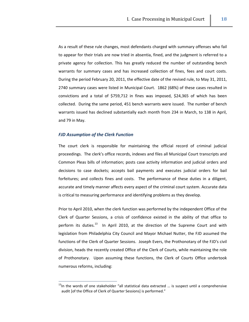As a result of these rule changes, most defendants charged with summary offenses who fail to appear for their trials are now tried in absentia, fined, and the judgment is referred to a private agency for collection. This has greatly reduced the number of outstanding bench warrants for summary cases and has increased collection of fines, fees and court costs. During the period February 20, 2011, the effective date of the revised rule, to May 31, 2011, 2740 summary cases were listed in Municipal Court. 1862 (68%) of these cases resulted in convictions and a total of \$759,712 in fines was imposed, \$24,365 of which has been collected. During the same period, 451 bench warrants were issued. The number of bench warrants issued has declined substantially each month from 234 in March, to 138 in April, and 79 in May.

## *FJD Assumption of the Clerk Function*

<u> 1989 - Johann Stein, mars ar breis an t-</u>

The court clerk is responsible for maintaining the official record of criminal judicial proceedings. The clerk's office records, indexes and files all Municipal Court transcripts and Common Pleas bills of information; posts case activity information and judicial orders and decisions to case dockets; accepts bail payments and executes judicial orders for bail forfeitures; and collects fines and costs. The performance of these duties in a diligent, accurate and timely manner affects every aspect of the criminal court system. Accurate data is critical to measuring performance and identifying problems as they develop.

Prior to April 2010, when the clerk function was performed by the independent Office of the Clerk of Quarter Sessions, a crisis of confidence existed in the ability of that office to perform its duties.<sup>13</sup> In April 2010, at the direction of the Supreme Court and with legislation from Philadelphia City Council and Mayor Michael Nutter, the FJD assumed the functions of the Clerk of Quarter Sessions. Joseph Evers, the Prothonotary of the FJD's civil division, heads the recently created Office of the Clerk of Courts, while maintaining the role of Prothonotary. Upon assuming these functions, the Clerk of Courts Office undertook numerous reforms, including:

 $13$ In the words of one stakeholder "all statistical data extracted ... is suspect until a comprehensive audit [of the Office of Clerk of Quarter Sessions] is performed."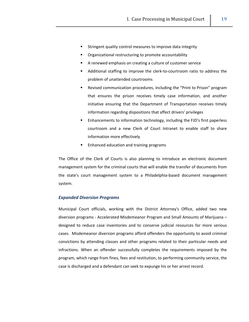- Stringent quality control measures to improve data integrity
- Organizational restructuring to promote accountability
- A renewed emphasis on creating a culture of customer service
- Additional staffing to improve the clerk‐to‐courtroom ratio to address the problem of unattended courtrooms
- Revised communication procedures, including the "Print to Prison" program that ensures the prison receives timely case information, and another initiative ensuring that the Department of Transportation receives timely information regarding dispositions that affect drivers' privileges
- Enhancements to information technology, including the FJD's first paperless courtroom and a new Clerk of Court Intranet to enable staff to share information more effectively
- Enhanced education and training programs

The Office of the Clerk of Courts is also planning to introduce an electronic document management system for the criminal courts that will enable the transfer of documents from the state's court management system to a Philadelphia‐based document management system.

## *Expanded Diversion Programs*

Municipal Court officials, working with the District Attorney's Office, added two new diversion programs ‐ Accelerated Misdemeanor Program and Small Amounts of Marijuana – designed to reduce case inventories and to conserve judicial resources for more serious cases. Misdemeanor diversion programs afford offenders the opportunity to avoid criminal convictions by attending classes and other programs related to their particular needs and infractions. When an offender successfully completes the requirements imposed by the program, which range from fines, fees and restitution, to performing community service, the case is discharged and a defendant can seek to expunge his or her arrest record.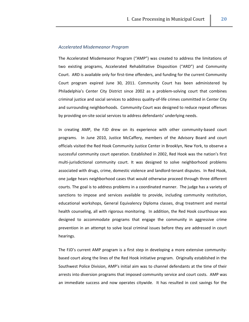## *Accelerated Misdemeanor Program*

The Accelerated Misdemeanor Program ("AMP") was created to address the limitations of two existing programs, Accelerated Rehabilitative Disposition ("ARD") and Community Court. ARD is available only for first-time offenders, and funding for the current Community Court program expired June 30, 2011. Community Court has been administered by Philadelphia's Center City District since 2002 as a problem‐solving court that combines criminal justice and social services to address quality‐of‐life crimes committed in Center City and surrounding neighborhoods. Community Court was designed to reduce repeat offenses by providing on‐site social services to address defendants' underlying needs.

In creating AMP, the FJD drew on its experience with other community-based court programs. In June 2010, Justice McCaffery, members of the Advisory Board and court officials visited the Red Hook Community Justice Center in Brooklyn, New York, to observe a successful community court operation. Established in 2002, Red Hook was the nation's first multi‐jurisdictional community court. It was designed to solve neighborhood problems associated with drugs, crime, domestic violence and landlord‐tenant disputes. In Red Hook, one judge hears neighborhood cases that would otherwise proceed through three different courts. The goal is to address problems in a coordinated manner. The judge has a variety of sanctions to impose and services available to provide, including community restitution, educational workshops, General Equivalency Diploma classes, drug treatment and mental health counseling, all with rigorous monitoring. In addition, the Red Hook courthouse was designed to accommodate programs that engage the community in aggressive crime prevention in an attempt to solve local criminal issues before they are addressed in court hearings.

The FJD's current AMP program is a first step in developing a more extensive community‐ based court along the lines of the Red Hook initiative program. Originally established in the Southwest Police Division, AMP's initial aim was to channel defendants at the time of their arrests into diversion programs that imposed community service and court costs. AMP was an immediate success and now operates citywide. It has resulted in cost savings for the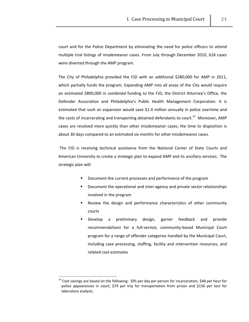court and for the Police Department by eliminating the need for police officers to attend multiple trial listings of misdemeanor cases. From July through December 2010, 618 cases were diverted through the AMP program.

The City of Philadelphia provided the FJD with an additional \$280,000 for AMP in 2011, which partially funds the program. Expanding AMP into all areas of the City would require an estimated \$800,000 in combined funding to the FJD, the District Attorney's Office, the Defender Association and Philadelphia's Public Health Management Corporation. It is estimated that such an expansion would save \$1.4 million annually in police overtime and the costs of incarcerating and transporting detained defendants to court.<sup>14</sup> Moreover, AMP cases are resolved more quickly than other misdemeanor cases; the time to disposition is about 30 days compared to an estimated six months for other misdemeanor cases.

The FJD is receiving technical assistance from the National Center of State Courts and American University to create a strategic plan to expand AMP and its ancillary services. The strategic plan will:

- Document the current processes and performance of the program
- Document the operational and inter‐agency and private sector relationships involved in the program
- **EXECT** Review the design and performance characteristics of other community courts
- Develop a preliminary design, garner feedback and provide recommendations for a full‐service, community‐based Municipal Court program for a range of offender categories handled by the Municipal Court, including case processing, staffing, facility and intervention resources, and related cost estimates

<sup>&</sup>lt;sup>14</sup> Cost savings are based on the following: \$95 per day per person for incarceration, \$48 per hour for police appearances in court; \$79 per trip for transportation from prison and \$150 per test for laboratory analysis.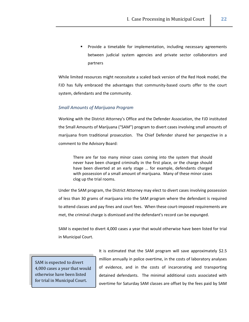Provide a timetable for implementation, including necessary agreements between judicial system agencies and private sector collaborators and partners

While limited resources might necessitate a scaled back version of the Red Hook model, the FJD has fully embraced the advantages that community-based courts offer to the court system, defendants and the community.

## *Small Amounts of Marijuana Program*

Working with the District Attorney's Office and the Defender Association, the FJD instituted the Small Amounts of Marijuana ("SAM") program to divert cases involving small amounts of marijuana from traditional prosecution. The Chief Defender shared her perspective in a comment to the Advisory Board:

There are far too many minor cases coming into the system that should never have been charged criminally in the first place, or the charge should have been diverted at an early stage … for example, defendants charged with possession of a small amount of marijuana. Many of these minor cases clog up the trial rooms.

Under the SAM program, the District Attorney may elect to divert cases involving possession of less than 30 grams of marijuana into the SAM program where the defendant is required to attend classes and pay fines and court fees. When these court-imposed requirements are met, the criminal charge is dismissed and the defendant's record can be expunged.

SAM is expected to divert 4,000 cases a year that would otherwise have been listed for trial in Municipal Court.

SAM is expected to divert 4,000 cases a year that would otherwise have been listed for trial in Municipal Court.

It is estimated that the SAM program will save approximately \$2.5 million annually in police overtime, in the costs of laboratory analyses of evidence, and in the costs of incarcerating and transporting detained defendants. The minimal additional costs associated with overtime for Saturday SAM classes are offset by the fees paid by SAM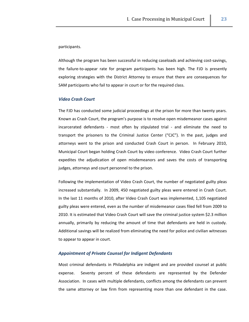#### participants.

Although the program has been successful in reducing caseloads and achieving cost‐savings, the failure‐to‐appear rate for program participants has been high. The FJD is presently exploring strategies with the District Attorney to ensure that there are consequences for SAM participants who fail to appear in court or for the required class.

## *Video Crash Court*

The FJD has conducted some judicial proceedings at the prison for more than twenty years. Known as Crash Court, the program's purpose is to resolve open misdemeanor cases against incarcerated defendants - most often by stipulated trial - and eliminate the need to transport the prisoners to the Criminal Justice Center ("CJC"). In the past, judges and attorneys went to the prison and conducted Crash Court in person. In February 2010, Municipal Court began holding Crash Court by video conference. Video Crash Court further expedites the adjudication of open misdemeanors and saves the costs of transporting judges, attorneys and court personnel to the prison.

Following the implementation of Video Crash Court, the number of negotiated guilty pleas increased substantially. In 2009, 450 negotiated guilty pleas were entered in Crash Court. In the last 11 months of 2010, after Video Crash Court was implemented, 1,105 negotiated guilty pleas were entered, even as the number of misdemeanor cases filed fell from 2009 to 2010. It is estimated that Video Crash Court will save the criminal justice system \$2.3 million annually, primarily by reducing the amount of time that defendants are held in custody. Additional savings will be realized from eliminating the need for police and civilian witnesses to appear to appear in court.

## *Appointment of Private Counsel for Indigent Defendants*

Most criminal defendants in Philadelphia are indigent and are provided counsel at public expense. Seventy percent of these defendants are represented by the Defender Association. In cases with multiple defendants, conflicts among the defendants can prevent the same attorney or law firm from representing more than one defendant in the case.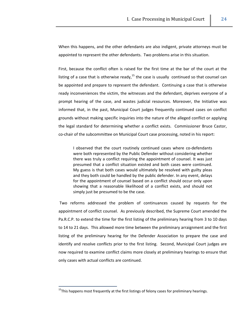When this happens, and the other defendants are also indigent, private attorneys must be appointed to represent the other defendants. Two problems arise in this situation.

First, because the conflict often is raised for the first time at the bar of the court at the listing of a case that is otherwise ready,  $^{15}$  the case is usually continued so that counsel can be appointed and prepare to represent the defendant. Continuing a case that is otherwise ready inconveniences the victim, the witnesses and the defendant, deprives everyone of a prompt hearing of the case, and wastes judicial resources. Moreover, the Initiative was informed that, in the past, Municipal Court judges frequently continued cases on conflict grounds without making specific inquiries into the nature of the alleged conflict or applying the legal standard for determining whether a conflict exists. Commissioner Bruce Castor, co-chair of the subcommittee on Municipal Court case processing, noted in his report:

I observed that the court routinely continued cases where co-defendants were both represented by the Public Defender without considering whether there was truly a conflict requiring the appointment of counsel. It was just presumed that a conflict situation existed and both cases were continued. My guess is that both cases would ultimately be resolved with guilty pleas and they both could be handled by the public defender. In any event, delays for the appointment of counsel based on a conflict should occur only upon showing that a reasonable likelihood of a conflict exists, and should not simply just be presumed to be the case.

Two reforms addressed the problem of continuances caused by requests for the appointment of conflict counsel. As previously described, the Supreme Court amended the Pa.R.C.P. to extend the time for the first listing of the preliminary hearing from 3 to 10 days to 14 to 21 days. This allowed more time between the preliminary arraignment and the first listing of the preliminary hearing for the Defender Association to prepare the case and identify and resolve conflicts prior to the first listing. Second, Municipal Court judges are now required to examine conflict claims more closely at preliminary hearings to ensure that only cases with actual conflicts are continued.

 $<sup>15</sup>$ This happens most frequently at the first listings of felony cases for preliminary hearings.</sup>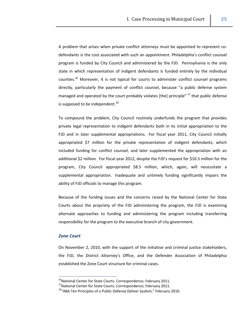A problem that arises when private conflict attorneys must be appointed to represent co‐ defendants is the cost associated with such an appointment. Philadelphia's conflict counsel program is funded by City Council and administered by the FJD. Pennsylvania is the only state in which representation of indigent defendants is funded entirely by the individual counties.<sup>16</sup> Moreover, it is not typical for courts to administer conflict counsel programs directly, particularly the payment of conflict counsel, because "a public defense system managed and operated by the court probably violates [the] principle"  $^{17}$  that public defense is supposed to be independent.<sup>18</sup>

To compound the problem, City Council routinely underfunds the program that provides private legal representation to indigent defendants both in its initial appropriation to the FJD and in later supplemental appropriations. For fiscal year 2011, City Council initially appropriated \$7 million for the private representation of indigent defendants, which included funding for conflict counsel, and later supplemented the appropriation with an additional \$2 million. For fiscal year 2012, despite the FJD's request for \$10.5 million for the program, City Council appropriated \$8.5 million, which, again, will necessitate a supplemental appropriation. Inadequate and untimely funding significantly impairs the ability of FJD officials to manage this program.

Because of the funding issues and the concerns raised by the National Center for State Courts about the propriety of the FJD administering the program, the FJD is examining alternate approaches to funding and administering the program including transferring responsibility for the program to the executive branch of city government.

## *Zone Court*

On November 2, 2010, with the support of the Initiative and criminal justice stakeholders, the FJD, the District Attorney's Office, and the Defender Association of Philadelphia established the Zone Court structure for criminal cases.

<sup>&</sup>lt;sup>16</sup>National Center for State Courts. Correspondence, February 2011.<br><sup>17</sup>National Center for State Courts. Correspondence, February 2011.<br><sup>18</sup>"ABA Ten Principles of a Public Defense Deliver System," February 2010.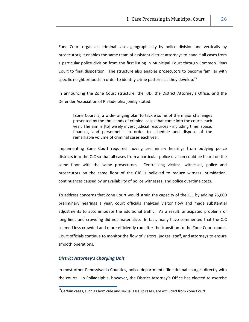Zone Court organizes criminal cases geographically by police division and vertically by prosecutors; it enables the same team of assistant district attorneys to handle all cases from a particular police division from the first listing in Municipal Court through Common Pleas Court to final disposition. The structure also enables prosecutors to become familiar with specific neighborhoods in order to identify crime patterns as they develop.<sup>19</sup>

In announcing the Zone Court structure, the FJD, the District Attorney's Office, and the Defender Association of Philadelphia jointly stated:

[Zone Court is] a wide-ranging plan to tackle some of the major challenges presented by the thousands of criminal cases that come into the courts each year. The aim is [to] wisely invest judicial resources ‐ including time, space, finances, and personnel - in order to schedule and dispose of the remarkable volume of criminal cases each year.

Implementing Zone Court required moving preliminary hearings from outlying police districts into the CJC so that all cases from a particular police division could be heard on the same floor with the same prosecutors. Centralizing victims, witnesses, police and prosecutors on the same floor of the CJC is believed to reduce witness intimidation, continuances caused by unavailability of police witnesses, and police overtime costs.

To address concerns that Zone Court would strain the capacity of the CJC by adding 25,000 preliminary hearings a year, court officials analyzed visitor flow and made substantial adjustments to accommodate the additional traffic. As a result, anticipated problems of long lines and crowding did not materialize. In fact, many have commented that the CJC seemed less crowded and more efficiently run after the transition to the Zone Court model. Court officials continue to monitor the flow of visitors, judges, staff, and attorneys to ensure smooth operations.

#### *District Attorney's Charging Unit*

In most other Pennsylvania Counties, police departments file criminal charges directly with the courts. In Philadelphia, however, the District Attorney's Office has elected to exercise

 $19$ Certain cases, such as homicide and sexual assault cases, are excluded from Zone Court.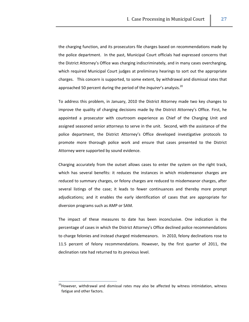the charging function, and its prosecutors file charges based on recommendations made by the police department. In the past, Municipal Court officials had expressed concerns that the District Attorney's Office was charging indiscriminately, and in many cases overcharging, which required Municipal Court judges at preliminary hearings to sort out the appropriate charges. This concern is supported, to some extent, by withdrawal and dismissal rates that approached 50 percent during the period of the *Inquirer's* analysis.<sup>20</sup>

To address this problem, in January, 2010 the District Attorney made two key changes to improve the quality of charging decisions made by the District Attorney's Office. First, he appointed a prosecutor with courtroom experience as Chief of the Charging Unit and assigned seasoned senior attorneys to serve in the unit. Second, with the assistance of the police department, the District Attorney's Office developed investigative protocols to promote more thorough police work and ensure that cases presented to the District Attorney were supported by sound evidence.

Charging accurately from the outset allows cases to enter the system on the right track, which has several benefits: it reduces the instances in which misdemeanor charges are reduced to summary charges, or felony charges are reduced to misdemeanor charges, after several listings of the case; it leads to fewer continuances and thereby more prompt adjudications; and it enables the early identification of cases that are appropriate for diversion programs such as AMP or SAM.

The impact of these measures to date has been inconclusive. One indication is the percentage of cases in which the District Attorney's Office declined police recommendations to charge felonies and instead charged misdemeanors. In 2010, felony declinations rose to 11.5 percent of felony recommendations. However, by the first quarter of 2011, the declination rate had returned to its previous level.

<u> 1989 - Johann Stein, mars ar breis an t-</u>

<sup>&</sup>lt;sup>20</sup>However, withdrawal and dismissal rates may also be affected by witness intimidation, witness fatigue and other factors.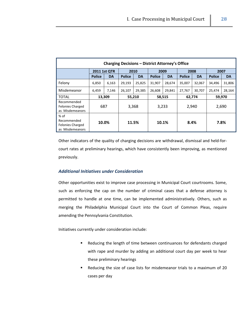| <b>Charging Decisions - District Attorney's Office</b>              |               |           |               |           |               |           |               |           |               |           |
|---------------------------------------------------------------------|---------------|-----------|---------------|-----------|---------------|-----------|---------------|-----------|---------------|-----------|
|                                                                     | 2011 1st QTR  |           | 2010          |           | 2009          |           | 2008          |           | 2007          |           |
|                                                                     | <b>Police</b> | <b>DA</b> | <b>Police</b> | <b>DA</b> | <b>Police</b> | <b>DA</b> | <b>Police</b> | <b>DA</b> | <b>Police</b> | <b>DA</b> |
| Felony                                                              | 6,850         | 6,163     | 29,193        | 25,825    | 31,907        | 28,674    | 35,007        | 32,067    | 34,496        | 31,806    |
| Misdemeanor                                                         | 6,459         | 7,146     | 26,107        | 29,385    | 26,608        | 29,841    | 27,767        | 30,707    | 25,474        | 28,164    |
| <b>TOTAL</b>                                                        | 13,309        |           | 55,210        |           | 58,515        |           | 62,774        |           | 59,970        |           |
| Recommended<br><b>Felonies Charged</b><br>as Misdemeanors           | 687           |           | 3,368         |           | 3,233         |           | 2,940         |           | 2,690         |           |
| $%$ of<br>Recommended<br><b>Felonies Charged</b><br>as Misdemeanors | 10.0%         |           |               | 11.5%     |               | 10.1%     | 8.4%          |           | 7.8%          |           |

Other indicators of the quality of charging decisions are withdrawal, dismissal and held‐for‐ court rates at preliminary hearings, which have consistently been improving, as mentioned previously.

## *Additional Initiatives under Consideration*

Other opportunities exist to improve case processing in Municipal Court courtrooms. Some, such as enforcing the cap on the number of criminal cases that a defense attorney is permitted to handle at one time, can be implemented administratively. Others, such as merging the Philadelphia Municipal Court into the Court of Common Pleas, require amending the Pennsylvania Constitution.

Initiatives currently under consideration include:

- Reducing the length of time between continuances for defendants charged with rape and murder by adding an additional court day per week to hear these preliminary hearings
- Reducing the size of case lists for misdemeanor trials to a maximum of 20 cases per day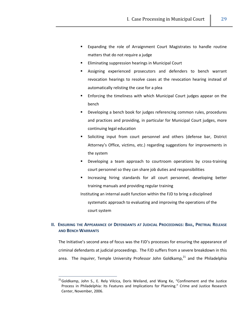- **Expanding the role of Arraignment Court Magistrates to handle routine** matters that do not require a judge
- **Eliminating suppression hearings in Municipal Court**
- Assigning experienced prosecutors and defenders to bench warrant revocation hearings to resolve cases at the revocation hearing instead of automatically relisting the case for a plea
- Enforcing the timeliness with which Municipal Court judges appear on the bench
- Developing a bench book for judges referencing common rules, procedures and practices and providing, in particular for Municipal Court judges, more continuing legal education
- Soliciting input from court personnel and others (defense bar, District Attorney's Office, victims, etc.) regarding suggestions for improvements in the system
- Developing a team approach to courtroom operations by cross-training court personnel so they can share job duties and responsibilities
- Increasing hiring standards for all court personnel, developing better training manuals and providing regular training

Instituting an internal audit function within the FJD to bring a disciplined

systematic approach to evaluating and improving the operations of the court system

# **II. ENSURING THE APPEARANCE OF DEFENDANTS AT JUDICIAL PROCEEDINGS: BAIL, PRETRIAL RELEASE AND BENCH WARRANTS**

The Initiative's second area of focus was the FJD's processes for ensuring the appearance of criminal defendants at judicial proceedings. The FJD suffers from a severe breakdown in this area. The *Inquirer*, Temple University Professor John Goldkamp,<sup>21</sup> and the Philadelphia

<sup>&</sup>lt;sup>21</sup>Goldkamp, John S., E. Rely Vilcica, Doris Weiland, and Wang Ke, "Confinement and the Justice Process in Philadelphia: Its Features and Implications for Planning." Crime and Justice Research Center, November, 2006.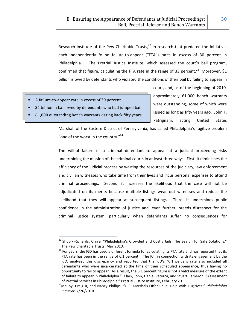Research Institute of the Pew Charitable Trusts, $^{22}$  in research that predated the Initiative, each independently found failure-to-appear ("FTA") rates in excess of 30 percent in Philadelphia. The Pretrial Justice Institute, which assessed the court's bail program, confirmed that figure, calculating the FTA rate in the range of 33 percent.<sup>23</sup> Moreover, \$1 billion is owed by defendants who violated the conditions of their bail by failing to appear in

- A failure‐to‐appear rate in excess of 30 percent
- \$1 billion in bail owed by defendants who had jumped bail
- 61,000 outstanding bench warrants dating back fifty years

<u> 1989 - Johann Stein, mars ar breis an t-</u>

court, and, as of the beginning of 2010, approximately 61,000 bench warrants were outstanding, some of which were issued as long as fifty years ago. John F. Patrignani, acting United States

Marshall of the Eastern District of Pennsylvania, has called Philadelphia's fugitive problem "one of the worst in the country."<sup>24</sup>

The willful failure of a criminal defendant to appear at a judicial proceeding risks undermining the mission of the criminal courts in at least three ways. First, it diminishes the efficiency of the judicial process by wasting the resources of the judiciary, law enforcement and civilian witnesses who take time from their lives and incur personal expenses to attend criminal proceedings. Second, it increases the likelihood that the case will not be adjudicated on its merits because multiple listings wear out witnesses and reduce the likelihood that they will appear at subsequent listings. Third, it undermines public confidence in the administration of justice and, even further, breeds disrespect for the criminal justice system, particularly when defendants suffer no consequences for

<sup>&</sup>lt;sup>22</sup> Shubik-Richards, Claire. "Philadelphia's Crowded and Costly Jails: The Search for Safe Solutions."

The Pew Charitable Trusts, May 2010.<br><sup>23</sup> For years, the FJD has used a different formula for calculating its FTA rate and has reported that its FTA rate has been in the range of 6.1 percent. The PJI, in connection with its engagement by the FJD, analyzed this discrepancy and reported that the FJD's "6.1 percent rate also included all defendants who were incarcerated at the time of their scheduled appearance, thus having no opportunity to fail to appear. As a result, the 6.1 percent figure is not a valid measure of the extent of failure to appear in Philadelphia." Clark, John, Daniel Peterca, and Stuart Cameron, "Assessment

of Pretrial Services in Philadelphia." Pretrial Justice Institute, February 2011. 24McCoy, Craig R, and Nancy Phillips. "U.S. Marshals Offer Phila. Help with Fugitives." *Philadelphia Inquirer*, 2/26/2010.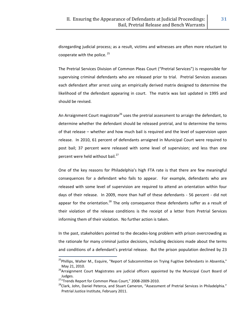disregarding judicial process; as a result, victims and witnesses are often more reluctant to cooperate with the police.  $25$ 

The Pretrial Services Division of Common Pleas Court ("Pretrial Services") is responsible for supervising criminal defendants who are released prior to trial. Pretrial Services assesses each defendant after arrest using an empirically derived matrix designed to determine the likelihood of the defendant appearing in court. The matrix was last updated in 1995 and should be revised.

An Arraignment Court magistrate<sup>26</sup> uses the pretrial assessment to arraign the defendant, to determine whether the defendant should be released pretrial, and to determine the terms of that release – whether and how much bail is required and the level of supervision upon release. In 2010, 61 percent of defendants arraigned in Municipal Court were required to post bail; 37 percent were released with some level of supervision; and less than one percent were held without bail.<sup>27</sup>

One of the key reasons for Philadelphia's high FTA rate is that there are few meaningful consequences for a defendant who fails to appear. For example, defendants who are released with some level of supervision are required to attend an orientation within four days of their release. In 2009, more than half of these defendants - 56 percent - did not appear for the orientation.<sup>28</sup> The only consequence these defendants suffer as a result of their violation of the release conditions is the receipt of a letter from Pretrial Services informing them of their violation. No further action is taken.

In the past, stakeholders pointed to the decades‐long problem with prison overcrowding as the rationale for many criminal justice decisions, including decisions made about the terms and conditions of a defendant's pretrial release. But the prison population declined by 23

<sup>&</sup>lt;sup>25</sup>Phillips, Walter M., Esquire, "Report of Subcommittee on Trying Fugitive Defendants in Absentia,"

May 21, 2010.<br><sup>26</sup>Arraignment Court Magistrates are judicial officers appointed by the Municipal Court Board of Judges.<br><sup>27</sup> "Trends Report for Common Pleas Court," 2008-2009-2010.

<sup>&</sup>lt;sup>28</sup>Clark, John, Daniel Peterca, and Stuart Cameron, "Assessment of Pretrial Services in Philadelphia." Pretrial Justice Institute, February 2011.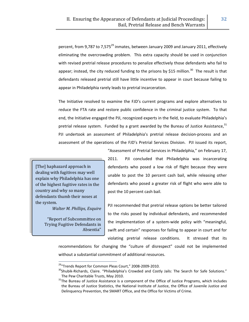percent, from 9,787 to 7,575<sup>29</sup> inmates, between January 2009 and January 2011, effectively eliminating the overcrowding problem. This extra capacity should be used in conjunction with revised pretrial release procedures to penalize effectively those defendants who fail to appear; instead, the city reduced funding to the prisons by \$15 million.<sup>30</sup> The result is that defendants released pretrial still have little incentive to appear in court because failing to appear in Philadelphia rarely leads to pretrial incarceration.

The Initiative resolved to examine the FJD's current programs and explore alternatives to reduce the FTA rate and restore public confidence in the criminal justice system. To that end, the Initiative engaged the PJI, recognized experts in the field, to evaluate Philadelphia's pretrial release system. Funded by a grant awarded by the Bureau of Justice Assistance,  $31$ PJI undertook an assessment of Philadelphia's pretrial release decision‐process and an assessment of the operations of the FJD's Pretrial Services Division. PJI issued its report,

[The] haphazard approach in dealing with fugitives may well explain why Philadelphia has one of the highest fugitive rates in the country and why so many defendants thumb their noses at the system.

*Walter M. Phillips, Esquire*

"Report of Subcommittee on Trying Fugitive Defendants in Absentia"

2011. PJI concluded that Philadelphia was incarcerating defendants who posed a low risk of flight because they were unable to post the 10 percent cash bail, while releasing other defendants who posed a greater risk of flight who were able to post the 10 percent cash bail.

"Assessment of Pretrial Services in Philadelphia," on February 17,

PJI recommended that pretrial release options be better tailored to the risks posed by individual defendants, and recommended the implementation of a system‐wide policy with "meaningful, swift and certain" responses for failing to appear in court and for violating pretrial release conditions. It stressed that its

recommendations for changing the "culture of disrespect" could not be implemented without a substantial commitment of additional resources.

<sup>&</sup>lt;sup>29</sup>"Trends Report for Common Pleas Court," 2008-2009-2010.<br><sup>30</sup>Shubik-Richards, Claire. "Philadelphia's Crowded and Costly Jails: The Search for Safe Solutions." The Pew Charitable Trusts, May 2010.<br><sup>31</sup>The Bureau of Justice Assistance is a component of the Office of Justice Programs, which includes

the Bureau of Justice Statistics, the National Institute of Justice, the Office of Juvenile Justice and Delinquency Prevention, the SMART Office, and the Office for Victims of Crime.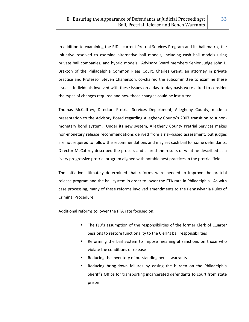In addition to examining the FJD's current Pretrial Services Program and its bail matrix, the Initiative resolved to examine alternative bail models, including cash bail models using private bail companies, and hybrid models. Advisory Board members Senior Judge John L. Braxton of the Philadelphia Common Pleas Court, Charles Grant, an attorney in private practice and Professor Steven Chanenson, co‐chaired the subcommittee to examine these issues. Individuals involved with these issues on a day‐to‐day basis were asked to consider the types of changes required and how those changes could be instituted.

Thomas McCaffrey, Director, Pretrial Services Department, Allegheny County, made a presentation to the Advisory Board regarding Allegheny County's 2007 transition to a non‐ monetary bond system. Under its new system, Allegheny County Pretrial Services makes non‐monetary release recommendations derived from a risk‐based assessment, but judges are not required to follow the recommendations and may set cash bail for some defendants. Director McCaffrey described the process and shared the results of what he described as a "very progressive pretrial program aligned with notable best practices in the pretrial field."

The Initiative ultimately determined that reforms were needed to improve the pretrial release program and the bail system in order to lower the FTA rate in Philadelphia. As with case processing, many of these reforms involved amendments to the Pennsylvania Rules of Criminal Procedure.

Additional reforms to lower the FTA rate focused on:

- **The FJD's assumption of the responsibilities of the former Clerk of Quarter** Sessions to restore functionality to the Clerk's bail responsibilities
- Reforming the bail system to impose meaningful sanctions on those who violate the conditions of release
- Reducing the inventory of outstanding bench warrants
- Reducing bring‐down failures by easing the burden on the Philadelphia Sheriff's Office for transporting incarcerated defendants to court from state prison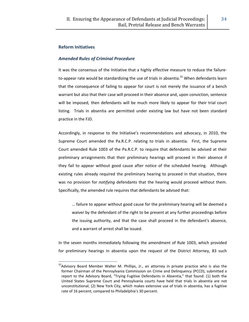# **Reform Initiatives**

# *Amended Rules of Criminal Procedure*

It was the consensus of the Initiative that a highly effective measure to reduce the failureto-appear rate would be standardizing the use of trials in absentia.<sup>32</sup> When defendants learn that the consequence of failing to appear for court is not merely the issuance of a bench warrant but also that their case will proceed in their absence and, upon conviction, sentence will be imposed, then defendants will be much more likely to appear for their trial court listing. Trials in absentia are permitted under existing law but have not been standard practice in the FJD.

Accordingly, in response to the Initiative's recommendations and advocacy, in 2010, the Supreme Court amended the Pa.R.C.P. relating to trials in absentia. First, the Supreme Court amended Rule 1003 of the Pa.R.C.P. to require that defendants be advised at their preliminary arraignments that their preliminary hearings will proceed in their absence if they fail to appear without good cause after notice of the scheduled hearing. Although existing rules already required the preliminary hearing to proceed in that situation, there was no provision for *notifying* defendants that the hearing would proceed without them. Specifically, the amended rule requires that defendants be advised that:

… failure to appear without good cause for the preliminary hearing will be deemed a waiver by the defendant of the right to be present at any further proceedings before the issuing authority, and that the case shall proceed in the defendant's absence, and a warrant of arrest shall be issued.

In the seven months immediately following the amendment of Rule 1003, which provided for preliminary hearings in absentia upon the request of the District Attorney, 83 such

 $32$ Advisory Board Member Walter M. Phillips, Jr., an attorney in private practice who is also the former Chairman of the Pennsylvania Commission on Crime and Delinquency (PCCD), submitted a report to the Advisory Board, "Trying Fugitive Defendants in Absentia," that found: (1) both the United States Supreme Court and Pennsylvania courts have held that trials in absentia are not unconstitutional; (2) New York City, which makes extensive use of trials in absentia, has a fugitive rate of 16 percent, compared to Philadelphia's 30 percent.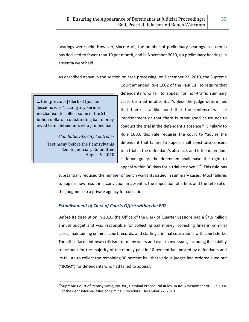hearings were held. However, since April, the number of preliminary hearings in absentia has declined to fewer than 10 per month, and in November 2010, no preliminary hearings in absentia were held.

As described above in the section on case processing, on December 22, 2010, the Supreme

… the [previous] Clerk of Quarter Sessions was "lacking any serious mechanism to collect some of the \$1 billion dollars in outstanding bail money owed from defendants who jumped bail.

> *Alan Butkovitz, City Controller* Testimony before the Pennsylvania Senate Judiciary Committee August 9, 2010

> > <u> 1989 - Johann Stein, mars ar breis an t-</u>

Court amended Rule 1002 of the Pa.R.C.P. to require that defendants who fail to appear for non-traffic summary cases be tried in absentia "unless the judge determines that there is a likelihood that the sentence will be imprisonment or that there is other good cause not to conduct the trial in the defendant's absence." Similarly to Rule 1003, this rule requires the court to "advise the defendant that failure to appear shall constitute consent to a trial in the defendant's absence, and if the defendant is found guilty, the defendant shall have the right to appeal within 30 days for a trial de novo. $^{33}$  This rule has

substantially reduced the number of bench warrants issued in summary cases. Most failures to appear now result in a conviction in absentia, the imposition of a fine, and the referral of the judgment to a private agency for collection.

# *Establishment of Clerk of Courts Office within the FJD*

Before its dissolution in 2010, the Office of the Clerk of Quarter Sessions had a \$4.5 million annual budget and was responsible for collecting bail money, collecting fines in criminal cases, maintaining criminal court records, and staffing criminal courtrooms with court clerks. The office faced intense criticism for many years and over many issues, including its inability to account for the majority of the money paid in 10 percent bail posted by defendants and its failure to collect the remaining 90 percent bail that various judges had ordered sued out ("BOSO") for defendants who had failed to appear.

<sup>&</sup>lt;sup>33</sup>Supreme Court of Pennsylvania, No 396, Criminal Procedural Rules, In Re: Amendment of Rule 1002 of the Pennsylvania Rules of Criminal Procedure, December 22, 2010.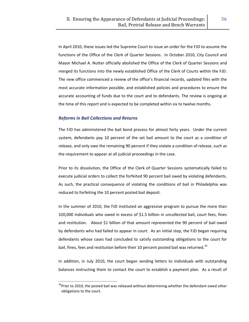In April 2010, these issues led the Supreme Court to issue an order for the FJD to assume the functions of the Office of the Clerk of Quarter Sessions. In October 2010, City Council and Mayor Michael A. Nutter officially abolished the Office of the Clerk of Quarter Sessions and merged its functions into the newly established Office of the Clerk of Courts within the FJD. The new office commenced a review of the office's financial records, updated files with the most accurate information possible, and established policies and procedures to ensure the accurate accounting of funds due to the court and to defendants. The review is ongoing at the time of this report and is expected to be completed within six to twelve months.

# *Reforms in Bail Collections and Returns*

<u> 1989 - Johann Stein, mars ar breis an t-</u>

The FJD has administered the bail bond process for almost forty years. Under the current system, defendants pay 10 percent of the set bail amount to the court as a condition of release, and only owe the remaining 90 percent if they violate a condition of release, such as the requirement to appear at all judicial proceedings in the case.

Prior to its dissolution, the Office of the Clerk of Quarter Sessions systematically failed to execute judicial orders to collect the forfeited 90 percent bail owed by violating defendants. As such, the practical consequence of violating the conditions of bail in Philadelphia was reduced to forfeiting the 10 percent posted bail deposit.

In the summer of 2010, the FJD instituted an aggressive program to pursue the more than 320,000 individuals who owed in excess of \$1.5 billion in uncollected bail, court fees, fines and restitution. About \$1 billion of that amount represented the 90 percent of bail owed by defendants who had failed to appear in court. As an initial step, the FJD began requiring defendants whose cases had concluded to satisfy outstanding obligations to the court for bail, fines, fees and restitution before their 10 percent posted bail was returned.<sup>34</sup>

In addition, in July 2010, the court began sending letters to individuals with outstanding balances instructing them to contact the court to establish a payment plan. As a result of

<sup>&</sup>lt;sup>34</sup>Prior to 2010, the posted bail was released without determining whether the defendant owed other obligations to the court.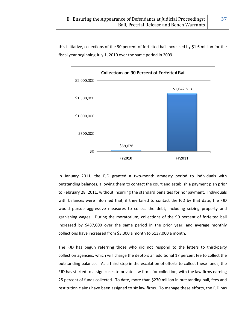

this initiative, collections of the 90 percent of forfeited bail increased by \$1.6 million for the



In January 2011, the FJD granted a two-month amnesty period to individuals with outstanding balances, allowing them to contact the court and establish a payment plan prior to February 28, 2011, without incurring the standard penalties for nonpayment. Individuals with balances were informed that, if they failed to contact the FJD by that date, the FJD would pursue aggressive measures to collect the debt, including seizing property and garnishing wages. During the moratorium, collections of the 90 percent of forfeited bail increased by \$437,000 over the same period in the prior year, and average monthly collections have increased from \$3,300 a month to \$137,000 a month.

The FJD has begun referring those who did not respond to the letters to third-party collection agencies, which will charge the debtors an additional 17 percent fee to collect the outstanding balances. As a third step in the escalation of efforts to collect these funds, the FJD has started to assign cases to private law firms for collection, with the law firms earning 25 percent of funds collected. To date, more than \$270 million in outstanding bail, fees and restitution claims have been assigned to six law firms. To manage these efforts, the FJD has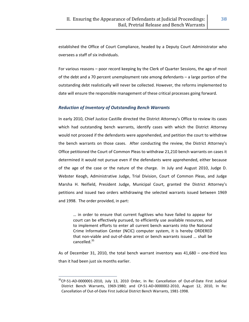established the Office of Court Compliance, headed by a Deputy Court Administrator who oversees a staff of six individuals.

For various reasons – poor record keeping by the Clerk of Quarter Sessions, the age of most of the debt and a 70 percent unemployment rate among defendants – a large portion of the outstanding debt realistically will never be collected. However, the reforms implemented to date will ensure the responsible management of these critical processes going forward.

# *Reduction of Inventory of Outstanding Bench Warrants*

In early 2010, Chief Justice Castille directed the District Attorney's Office to review its cases which had outstanding bench warrants, identify cases with which the District Attorney would not proceed if the defendants were apprehended, and petition the court to withdraw the bench warrants on those cases. After conducting the review, the District Attorney's Office petitioned the Court of Common Pleas to withdraw 21,210 bench warrants on cases it determined it would not pursue even if the defendants were apprehended, either because of the age of the case or the nature of the charge. In July and August 2010, Judge D. Webster Keogh, Administrative Judge, Trial Division, Court of Common Pleas, and Judge Marsha H. Neifield, President Judge, Municipal Court, granted the District Attorney's petitions and issued two orders withdrawing the selected warrants issued between 1969 and 1998. The order provided, in part:

… in order to ensure that current fugitives who have failed to appear for court can be effectively pursued, to efficiently use available resources, and to implement efforts to enter all current bench warrants into the National Crime Information Center (NCIC) computer system, it is hereby ORDERED that non‐viable and out‐of‐date arrest or bench warrants issued … shall be cancelled.<sup>35</sup>

As of December 31, 2010, the total bench warrant inventory was 41,680 – one‐third less than it had been just six months earlier.

<sup>&</sup>lt;sup>35</sup>CP-51-AD-0000001-2010, July 13, 2010 Order, In Re: Cancellation of Out-of-Date First Judicial District Bench Warrants, 1969‐1980; and CP‐51‐AD‐0000002‐2010, August 12, 2010, In Re: Cancellation of Out‐of‐Date First Judicial District Bench Warrants, 1981‐1998.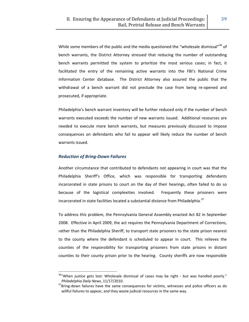While some members of the public and the media questioned the "wholesale dismissal"<sup>36</sup> of bench warrants, the District Attorney stressed that reducing the number of outstanding bench warrants permitted the system to prioritize the most serious cases; in fact, it facilitated the entry of the remaining active warrants into the FBI's National Crime Information Center database. The District Attorney also assured the public that the withdrawal of a bench warrant did not preclude the case from being re-opened and prosecuted, if appropriate.

Philadelphia's bench warrant inventory will be further reduced only if the number of bench warrants executed exceeds the number of new warrants issued. Additional resources are needed to execute more bench warrants, but measures previously discussed to impose consequences on defendants who fail to appear will likely reduce the number of bench warrants issued.

## *Reduction of Bring‐Down Failures*

<u> 1989 - Johann Stein, mars ar breis an t-</u>

Another circumstance that contributed to defendants not appearing in court was that the Philadelphia Sheriff's Office, which was responsible for transporting defendants incarcerated in state prisons to court on the day of their hearings, often failed to do so because of the logistical complexities involved. Frequently these prisoners were incarcerated in state facilities located a substantial distance from Philadelphia.<sup>37</sup>

To address this problem, the Pennsylvania General Assembly enacted Act 82 in September 2008. Effective in April 2009, the act requires the Pennsylvania Department of Corrections, rather than the Philadelphia Sheriff, to transport state prisoners to the state prison nearest to the county where the defendant is scheduled to appear in court. This relieves the counties of the responsibility for transporting prisoners from state prisons in distant counties to their county prison prior to the hearing. County sheriffs are now responsible

<sup>&</sup>lt;sup>36</sup>"When justice gets lost: Wholesale dismissal of cases may be right - but was handled poorly."

*Philadelphia Daily News,* 11/17/2010.<br><sup>37</sup>Bring-down failures have the same consequences for victims, witnesses and police officers as do willful failures to appear, and they waste judicial resources in the same way.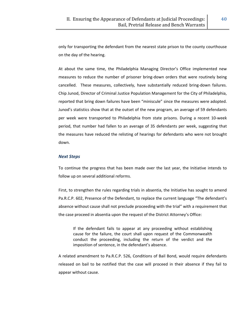only for transporting the defendant from the nearest state prison to the county courthouse on the day of the hearing.

At about the same time, the Philadelphia Managing Director's Office implemented new measures to reduce the number of prisoner bring‐down orders that were routinely being cancelled. These measures, collectively, have substantially reduced bring-down failures. Chip Junod, Director of Criminal Justice Population Management for the City of Philadelphia, reported that bring down failures have been "miniscule" since the measures were adopted. Junod's statistics show that at the outset of the new program, an average of 59 defendants per week were transported to Philadelphia from state prisons. During a recent 10‐week period, that number had fallen to an average of 35 defendants per week, suggesting that the measures have reduced the relisting of hearings for defendants who were not brought down.

## *Next Steps*

To continue the progress that has been made over the last year, the Initiative intends to follow up on several additional reforms.

First, to strengthen the rules regarding trials in absentia, the Initiative has sought to amend Pa.R.C.P. 602, Presence of the Defendant, to replace the current language "The defendant's absence without cause shall not preclude proceeding with the trial" with a requirement that the case proceed in absentia upon the request of the District Attorney's Office:

If the defendant fails to appear at any proceeding without establishing cause for the failure, the court shall upon request of the Commonwealth conduct the proceeding, including the return of the verdict and the imposition of sentence, in the defendant's absence.

A related amendment to Pa.R.C.P. 526, Conditions of Bail Bond, would require defendants released on bail to be notified that the case will proceed in their absence if they fail to appear without cause.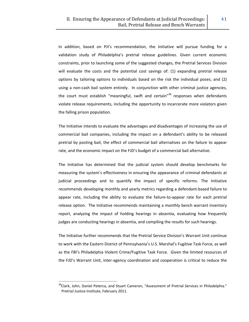In addition, based on PJI's recommendation, the Initiative will pursue funding for a validation study of Philadelphia's pretrial release guidelines. Given current economic constraints, prior to launching some of the suggested changes, the Pretrial Services Division will evaluate the costs and the potential cost savings of: (1) expanding pretrial release options by tailoring options to individuals based on the risk the individual poses; and (2) using a non‐cash bail system entirely. In conjunction with other criminal justice agencies, the court must establish "meaningful, swift and certain"<sup>38</sup> responses when defendants violate release requirements, including the opportunity to incarcerate more violators given the falling prison population.

The Initiative intends to evaluate the advantages and disadvantages of increasing the use of commercial bail companies, including the impact on a defendant's ability to be released pretrial by posting bail, the effect of commercial bail alternatives on the failure to appear rate, and the economic impact on the FJD's budget of a commercial bail alternative.

The Initiative has determined that the judicial system should develop benchmarks for measuring the system's effectiveness in ensuring the appearance of criminal defendants at judicial proceedings and to quantify the impact of specific reforms. The Initiative recommends developing monthly and yearly metrics regarding a defendant‐based failure to appear rate, including the ability to evaluate the failure‐to‐appear rate for each pretrial release option. The Initiative recommends maintaining a monthly bench warrant inventory report, analyzing the impact of holding hearings in absentia, evaluating how frequently judges are conducting hearings in absentia, and compiling the results for such hearings.

The Initiative further recommends that the Pretrial Service Division's Warrant Unit continue to work with the Eastern District of Pennsylvania's U.S. Marshal's Fugitive Task Force, as well as the FBI's Philadelphia Violent Crime/Fugitive Task Force. Given the limited resources of the FJD's Warrant Unit, inter‐agency coordination and cooperation is critical to reduce the

<u> Alexandria de la contrada de la contrada de la contrada de la contrada de la contrada de la contrada de la c</u>

<sup>&</sup>lt;sup>38</sup>Clark, John, Daniel Peterca, and Stuart Cameron, "Assessment of Pretrial Services in Philadelphia." Pretrial Justice Institute, February 2011.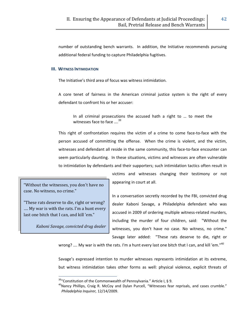number of outstanding bench warrants. In addition, the Initiative recommends pursuing additional federal funding to capture Philadelphia fugitives.

## **III. WITNESS INTIMIDATION**

The Initiative's third area of focus was witness intimidation.

A core tenet of fairness in the American criminal justice system is the right of every defendant to confront his or her accuser:

In all criminal prosecutions the accused hath a right to … to meet the witnesses face to face  $\ldots$ <sup>39</sup>

This right of confrontation requires the victim of a crime to come face‐to‐face with the person accused of committing the offense. When the crime is violent, and the victim, witnesses and defendant all reside in the same community, this face-to-face encounter can seem particularly daunting. In these situations, victims and witnesses are often vulnerable to intimidation by defendants and their supporters; such intimidation tactics often result in

"Without the witnesses, you don't have no case. No witness, no crime."

"These rats deserve to die, right or wrong? …. My war is with the rats. I'm a hunt every last one bitch that I can, and kill 'em."

*Kaboni Savage, convicted drug dealer*

victims and witnesses changing their testimony or not appearing in court at all.

In a conversation secretly recorded by the FBI, convicted drug dealer Kaboni Savage, a Philadelphia defendant who was accused in 2009 of ordering multiple witness‐related murders, including the murder of four children, said: "Without the witnesses, you don't have no case. No witness, no crime." Savage later added: "These rats deserve to die, right or

wrong? .... My war is with the rats. I'm a hunt every last one bitch that I can, and kill 'em."<sup>40</sup>

Savage's expressed intention to murder witnesses represents intimidation at its extreme, but witness intimidation takes other forms as well: physical violence, explicit threats of

<sup>&</sup>lt;sup>39</sup>"Constitution of the Commonwealth of Pennsylvania." Article I, § 9.<br><sup>40</sup>Nancy Phillips, Craig R. McCoy and Dylan Purcell, "Witnesses fear reprisals, and cases crumble." *Philadelphia Inquirer,* 12/14/2009.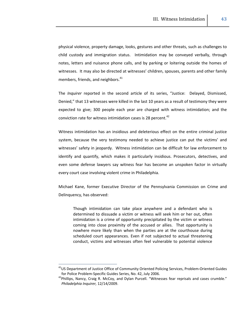physical violence, property damage, looks, gestures and other threats, such as challenges to child custody and immigration status. Intimidation may be conveyed verbally, through notes, letters and nuisance phone calls, and by parking or loitering outside the homes of witnesses. It may also be directed at witnesses' children, spouses, parents and other family members, friends, and neighbors.<sup>41</sup>

The *Inquirer* reported in the second article of its series, "Justice: Delayed, Dismissed, Denied," that 13 witnesses were killed in the last 10 years as a result of testimony they were expected to give; 300 people each year are charged with witness intimidation; and the conviction rate for witness intimidation cases is 28 percent. $42$ 

Witness intimidation has an insidious and deleterious effect on the entire criminal justice system, because the very testimony needed to achieve justice can put the victims' and witnesses' safety in jeopardy. Witness intimidation can be difficult for law enforcement to identify and quantify, which makes it particularly insidious. Prosecutors, detectives, and even some defense lawyers say witness fear has become an unspoken factor in virtually every court case involving violent crime in Philadelphia.

Michael Kane, former Executive Director of the Pennsylvania Commission on Crime and Delinquency, has observed:

Though intimidation can take place anywhere and a defendant who is determined to dissuade a victim or witness will seek him or her out, often intimidation is a crime of opportunity precipitated by the victim or witness coming into close proximity of the accused or allies. That opportunity is nowhere more likely than when the parties are at the courthouse during scheduled court appearances. Even if not subjected to actual threatening conduct, victims and witnesses often feel vulnerable to potential violence

<u> 1989 - Johann Stein, mars ar breis an t-</u>

<sup>&</sup>lt;sup>41</sup>US Department of Justice Office of Community Oriented Policing Services, Problem-Oriented Guides for Police Problem-Specific Guides Series, No. 42, July 2006.<br><sup>42</sup>Phillips, Nancy, Craig R. McCoy, and Dylan Purcell. "Witnesses fear reprisals and cases crumble."

*Philadelphia Inquirer,* 12/14/2009.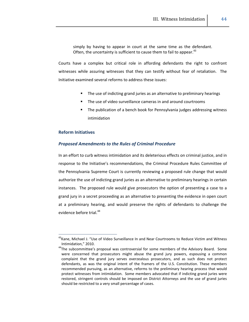simply by having to appear in court at the same time as the defendant. Often, the uncertainty is sufficient to cause them to fail to appear.<sup>43</sup>

Courts have a complex but critical role in affording defendants the right to confront witnesses while assuring witnesses that they can testify without fear of retaliation. The Initiative examined several reforms to address these issues:

- The use of indicting grand juries as an alternative to preliminary hearings
- The use of video surveillance cameras in and around courtrooms
- The publication of a bench book for Pennsylvania judges addressing witness intimidation

## **Reform Initiatives**

## *Proposed Amendments to the Rules of Criminal Procedure*

In an effort to curb witness intimidation and its deleterious effects on criminal justice, and in response to the Initiative's recommendations, the Criminal Procedure Rules Committee of the Pennsylvania Supreme Court is currently reviewing a proposed rule change that would authorize the use of indicting grand juries as an alternative to preliminary hearings in certain instances. The proposed rule would give prosecutors the option of presenting a case to a grand jury in a secret proceeding as an alternative to presenting the evidence in open court at a preliminary hearing, and would preserve the rights of defendants to challenge the evidence before trial.<sup>44</sup>

<sup>&</sup>lt;sup>43</sup>Kane, Michael J. "Use of Video Surveillance In and Near Courtrooms to Reduce Victim and Witness Intimidation," 2010.<br><sup>44</sup>The subcommittee's proposal was controversial for some members of the Advisory Board. Some

were concerned that prosecutors might abuse the grand jury powers, espousing a common complaint that the grand jury serves overzealous prosecutors, and as such does not protect defendants, as was the original intent of the framers of the U.S. Constitution. These members recommended pursuing, as an alternative, reforms to the preliminary hearing process that would protect witnesses from intimidation. Some members advocated that if indicting grand juries were restored, stringent controls should be imposed on District Attorneys and the use of grand juries should be restricted to a very small percentage of cases.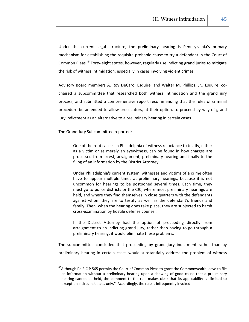Under the current legal structure, the preliminary hearing is Pennsylvania's primary mechanism for establishing the requisite probable cause to try a defendant in the Court of Common Pleas.<sup>45</sup> Forty-eight states, however, regularly use indicting grand juries to mitigate the risk of witness intimidation, especially in cases involving violent crimes.

Advisory Board members A. Roy DeCaro, Esquire, and Walter M. Phillips, Jr., Esquire, co‐ chaired a subcommittee that researched both witness intimidation and the grand jury process, and submitted a comprehensive report recommending that the rules of criminal procedure be amended to allow prosecutors, at their option, to proceed by way of grand jury indictment as an alternative to a preliminary hearing in certain cases.

The Grand Jury Subcommittee reported:

<u> Alexandria de la contrada de la contrada de la contrada de la contrada de la contrada de la contrada de la c</u>

One of the root causes in Philadelphia of witness reluctance to testify, either as a victim or as merely an eyewitness, can be found in how charges are processed from arrest, arraignment, preliminary hearing and finally to the filing of an information by the District Attorney….

Under Philadelphia's current system, witnesses and victims of a crime often have to appear multiple times at preliminary hearings, because it is not uncommon for hearings to be postponed several times. Each time, they must go to police districts or the CJC, where most preliminary hearings are held, and where they find themselves in close quarters with the defendants against whom they are to testify as well as the defendant's friends and family. Then, when the hearing does take place, they are subjected to harsh cross‐examination by hostile defense counsel.

If the District Attorney had the option of proceeding directly from arraignment to an indicting grand jury, rather than having to go through a preliminary hearing, it would eliminate these problems.

The subcommittee concluded that proceeding by grand jury indictment rather than by preliminary hearing in certain cases would substantially address the problem of witness

<sup>&</sup>lt;sup>45</sup>Although Pa.R.C.P 565 permits the Court of Common Pleas to grant the Commonwealth leave to file an information without a preliminary hearing upon a showing of good cause that a preliminary hearing cannot be held, the comment to the rule makes clear that its applicability is "limited to exceptional circumstances only." Accordingly, the rule is infrequently invoked.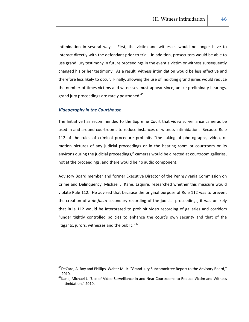intimidation in several ways. First, the victim and witnesses would no longer have to interact directly with the defendant prior to trial. In addition, prosecutors would be able to use grand jury testimony in future proceedings in the event a victim or witness subsequently changed his or her testimony. As a result, witness intimidation would be less effective and therefore less likely to occur. Finally, allowing the use of indicting grand juries would reduce the number of times victims and witnesses must appear since, unlike preliminary hearings, grand jury proceedings are rarely postponed.<sup>46</sup>

## *Videography in the Courthouse*

<u> 1989 - Johann Stein, mars ar breis an t-</u>

The Initiative has recommended to the Supreme Court that video surveillance cameras be used in and around courtrooms to reduce instances of witness intimidation. Because Rule 112 of the rules of criminal procedure prohibits "the taking of photographs, video, or motion pictures of any judicial proceedings or in the hearing room or courtroom or its environs during the judicial proceedings," cameras would be directed at courtroom galleries, not at the proceedings, and there would be no audio component.

Advisory Board member and former Executive Director of the Pennsylvania Commission on Crime and Delinquency, Michael J. Kane, Esquire, researched whether this measure would violate Rule 112. He advised that because the original purpose of Rule 112 was to prevent the creation of a *de facto* secondary recording of the judicial proceedings, it was unlikely that Rule 112 would be interpreted to prohibit video recording of galleries and corridors "under tightly controlled policies to enhance the court's own security and that of the litigants, jurors, witnesses and the public. $147$ 

<sup>&</sup>lt;sup>46</sup>DeCaro, A. Roy and Phillips, Walter M. Jr. "Grand Jury Subcommittee Report to the Advisory Board," 2010.

<sup>&</sup>lt;sup>47</sup>Kane, Michael J. "Use of Video Surveillance In and Near Courtrooms to Reduce Victim and Witness Intimidation," 2010.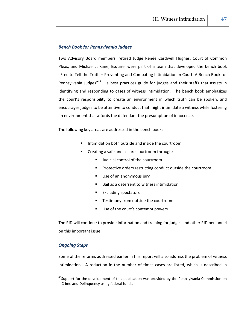## *Bench Book for Pennsylvania Judges*

Two Advisory Board members, retired Judge Renée Cardwell Hughes, Court of Common Pleas, and Michael J. Kane, Esquire, were part of a team that developed the bench book "Free to Tell the Truth – Preventing and Combating Intimidation in Court: A Bench Book for Pennsylvania Judges"<sup>48</sup> – a best practices guide for judges and their staffs that assists in identifying and responding to cases of witness intimidation. The bench book emphasizes the court's responsibility to create an environment in which truth can be spoken, and encourages judges to be attentive to conduct that might intimidate a witness while fostering an environment that affords the defendant the presumption of innocence.

The following key areas are addressed in the bench book:

- Intimidation both outside and inside the courtroom
- Creating a safe and secure courtroom through:
	- **Judicial control of the courtroom**
	- **Protective orders restricting conduct outside the courtroom**
	- Use of an anonymous jury
	- Bail as a deterrent to witness intimidation
	- Excluding spectators
	- Testimony from outside the courtroom
	- Use of the court's contempt powers

The FJD will continue to provide information and training for judges and other FJD personnel on this important issue.

# *Ongoing Steps*

<u> Alexandria de la contrada de la contrada de la contrada de la contrada de la contrada de la contrada de la c</u>

Some of the reforms addressed earlier in this report will also address the problem of witness intimidation. A reduction in the number of times cases are listed, which is described in

<sup>&</sup>lt;sup>48</sup>Support for the development of this publication was provided by the Pennsylvania Commission on Crime and Delinquency using federal funds.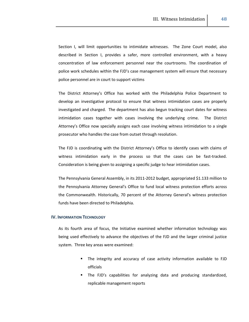Section I, will limit opportunities to intimidate witnesses. The Zone Court model, also described in Section I, provides a safer, more controlled environment, with a heavy concentration of law enforcement personnel near the courtrooms. The coordination of police work schedules within the FJD's case management system will ensure that necessary police personnel are in court to support victims

The District Attorney's Office has worked with the Philadelphia Police Department to develop an investigative protocol to ensure that witness intimidation cases are properly investigated and charged. The department has also begun tracking court dates for witness intimidation cases together with cases involving the underlying crime. The District Attorney's Office now specially assigns each case involving witness intimidation to a single prosecutor who handles the case from outset through resolution.

The FJD is coordinating with the District Attorney's Office to identify cases with claims of witness intimidation early in the process so that the cases can be fast-tracked. Consideration is being given to assigning a specific judge to hear intimidation cases.

The Pennsylvania General Assembly, in its 2011‐2012 budget, appropriated \$1.133 million to the Pennsylvania Attorney General's Office to fund local witness protection efforts across the Commonwealth. Historically, 70 percent of the Attorney General's witness protection funds have been directed to Philadelphia.

## **IV. INFORMATION TECHNOLOGY**

As its fourth area of focus, the Initiative examined whether information technology was being used effectively to advance the objectives of the FJD and the larger criminal justice system. Three key areas were examined:

- The integrity and accuracy of case activity information available to FJD officials
- The FJD's capabilities for analyzing data and producing standardized, replicable management reports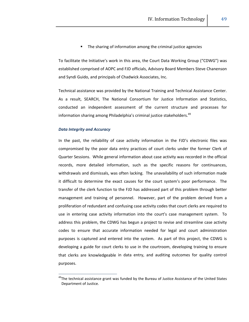The sharing of information among the criminal justice agencies

To facilitate the Initiative's work in this area, the Court Data Working Group ("CDWG") was established comprised of AOPC and FJD officials, Advisory Board Members Steve Chanenson and Syndi Guido, and principals of Chadwick Associates, Inc.

Technical assistance was provided by the National Training and Technical Assistance Center. As a result, SEARCH, The National Consortium for Justice Information and Statistics, conducted an independent assessment of the current structure and processes for information sharing among Philadelphia's criminal justice stakeholders.<sup>49</sup>

## *Data Integrity and Accuracy*

<u> 1989 - Johann Stein, mars ar breis an t-</u>

In the past, the reliability of case activity information in the FJD's electronic files was compromised by the poor data entry practices of court clerks under the former Clerk of Quarter Sessions. While general information about case activity was recorded in the official records, more detailed information, such as the specific reasons for continuances, withdrawals and dismissals, was often lacking. The unavailability of such information made it difficult to determine the exact causes for the court system's poor performance. The transfer of the clerk function to the FJD has addressed part of this problem through better management and training of personnel. However, part of the problem derived from a proliferation of redundant and confusing case activity codes that court clerks are required to use in entering case activity information into the court's case management system. To address this problem, the CDWG has begun a project to revise and streamline case activity codes to ensure that accurate information needed for legal and court administration purposes is captured and entered into the system. As part of this project, the CDWG is developing a guide for court clerks to use in the courtroom, developing training to ensure that clerks are knowledgeable in data entry, and auditing outcomes for quality control purposes.

<sup>&</sup>lt;sup>49</sup>The technical assistance grant was funded by the Bureau of Justice Assistance of the United States Department of Justice.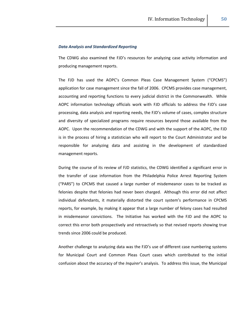#### *Data Analysis and Standardized Reporting*

The CDWG also examined the FJD's resources for analyzing case activity information and producing management reports.

The FJD has used the AOPC's Common Pleas Case Management System ("CPCMS") application for case management since the fall of 2006. CPCMS provides case management, accounting and reporting functions to every judicial district in the Commonwealth. While AOPC information technology officials work with FJD officials to address the FJD's case processing, data analysis and reporting needs, the FJD's volume of cases, complex structure and diversity of specialized programs require resources beyond those available from the AOPC. Upon the recommendation of the CDWG and with the support of the AOPC, the FJD is in the process of hiring a statistician who will report to the Court Administrator and be responsible for analyzing data and assisting in the development of standardized management reports.

During the course of its review of FJD statistics, the CDWG identified a significant error in the transfer of case information from the Philadelphia Police Arrest Reporting System ("PARS") to CPCMS that caused a large number of misdemeanor cases to be tracked as felonies despite that felonies had never been charged. Although this error did not affect individual defendants, it materially distorted the court system's performance in CPCMS reports, for example, by making it appear that a large number of felony cases had resulted in misdemeanor convictions. The Initiative has worked with the FJD and the AOPC to correct this error both prospectively and retroactively so that revised reports showing true trends since 2006 could be produced.

Another challenge to analyzing data was the FJD's use of different case numbering systems for Municipal Court and Common Pleas Court cases which contributed to the initial confusion about the accuracy of the *Inquirer*'s analysis. To address this issue, the Municipal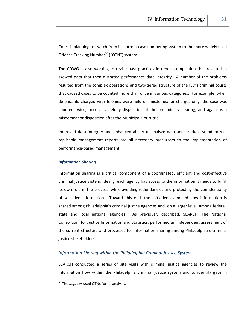Court is planning to switch from its current case numbering system to the more widely used Offense Tracking Number<sup>50</sup> ("OTN") system.

The CDWG is also working to revise past practices in report compilation that resulted in skewed data that then distorted performance data integrity. A number of the problems resulted from the complex operations and two-tiered structure of the FJD's criminal courts that caused cases to be counted more than once in various categories. For example, when defendants charged with felonies were held on misdemeanor charges only, the case was counted twice, once as a felony disposition at the preliminary hearing, and again as a misdemeanor disposition after the Municipal Court trial.

Improved data integrity and enhanced ability to analyze data and produce standardized, replicable management reports are all necessary precursors to the implementation of performance‐based management.

#### *Information Sharing*

Information sharing is a critical component of a coordinated, efficient and cost-effective criminal justice system. Ideally, each agency has access to the information it needs to fulfill its own role in the process, while avoiding redundancies and protecting the confidentiality of sensitive information. Toward this end, the Initiative examined how information is shared among Philadelphia's criminal justice agencies and, on a larger level, among federal, state and local national agencies. As previously described, SEARCH, The National Consortium for Justice Information and Statistics, performed an independent assessment of the current structure and processes for information sharing among Philadelphia's criminal justice stakeholders.

# *Information Sharing within the Philadelphia Criminal Justice System*

SEARCH conducted a series of site visits with criminal justice agencies to review the information flow within the Philadelphia criminal justice system and to identify gaps in

<sup>50</sup> The *Inquirer* used OTNs for its analysis.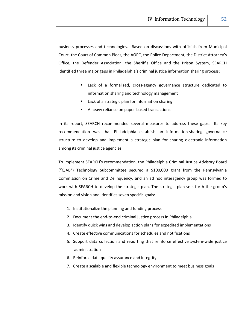business processes and technologies. Based on discussions with officials from Municipal Court, the Court of Common Pleas, the AOPC, the Police Department, the District Attorney's Office, the Defender Association, the Sheriff's Office and the Prison System, SEARCH identified three major gaps in Philadelphia's criminal justice information sharing process:

- Lack of a formalized, cross-agency governance structure dedicated to information sharing and technology management
- **E** Lack of a strategic plan for information sharing
- A heavy reliance on paper‐based transactions

In its report, SEARCH recommended several measures to address these gaps. Its key recommendation was that Philadelphia establish an information‐sharing governance structure to develop and implement a strategic plan for sharing electronic information among its criminal justice agencies.

To implement SEARCH's recommendation, the Philadelphia Criminal Justice Advisory Board ("CJAB") Technology Subcommittee secured a \$100,000 grant from the Pennsylvania Commission on Crime and Delinquency, and an ad hoc interagency group was formed to work with SEARCH to develop the strategic plan. The strategic plan sets forth the group's mission and vision and identifies seven specific goals:

- 1. Institutionalize the planning and funding process
- 2. Document the end-to-end criminal justice process in Philadelphia
- 3. Identify quick wins and develop action plans for expedited implementations
- 4. Create effective communications for schedules and notifications
- 5. Support data collection and reporting that reinforce effective system-wide justice administration
- 6. Reinforce data quality assurance and integrity
- 7. Create a scalable and flexible technology environment to meet business goals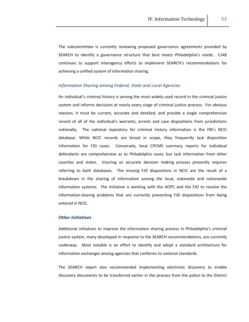The subcommittee is currently reviewing proposed governance agreements provided by SEARCH to identify a governance structure that best meets Philadelphia's needs. CJAB continues to support interagency efforts to implement SEARCH's recommendations for achieving a unified system of information sharing.

## *Information Sharing among Federal, State and Local Agencies*

An individual's criminal history is among the most widely used record in the criminal justice system and informs decisions at nearly every stage of criminal justice process. For obvious reasons, it must be current, accurate and detailed, and provide a single comprehensive record of all of the individual's warrants, arrests and case dispositions from jurisdictions nationally. The national repository for criminal history information is the FBI's NCIC database. While NCIC records are broad in scope, they frequently lack disposition information for FJD cases. Conversely, local CPCMS summary reports for individual defendants are comprehensive as to Philadelphia cases, but lack information from other counties and states. Insuring an accurate decision making process presently requires referring to both databases. The missing FJD dispositions in NCIC are the result of a breakdown in the sharing of information among the local, statewide and nationwide information systems. The Initiative is working with the AOPC and the FJD to resolve the information‐sharing problems that are currently preventing FJD dispositions from being entered in NCIC.

## *Other Initiatives*

Additional initiatives to improve the information sharing process in Philadelphia's criminal justice system, many developed in response to the SEARCH recommendations, are currently underway. Most notable is an effort to identify and adopt a standard architecture for information exchanges among agencies that conforms to national standards.

The SEARCH report also recommended implementing electronic discovery to enable discovery documents to be transferred earlier in the process from the police to the District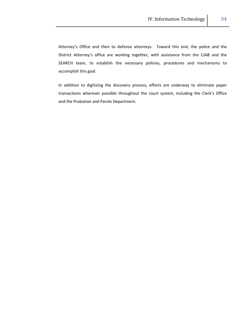Attorney's Office and then to defense attorneys. Toward this end, the police and the District Attorney's office are working together, with assistance from the CJAB and the SEARCH team, to establish the necessary policies, procedures and mechanisms to accomplish this goal.

In addition to digitizing the discovery process, efforts are underway to eliminate paper transactions wherever possible throughout the court system, including the Clerk's Office and the Probation and Parole Department.